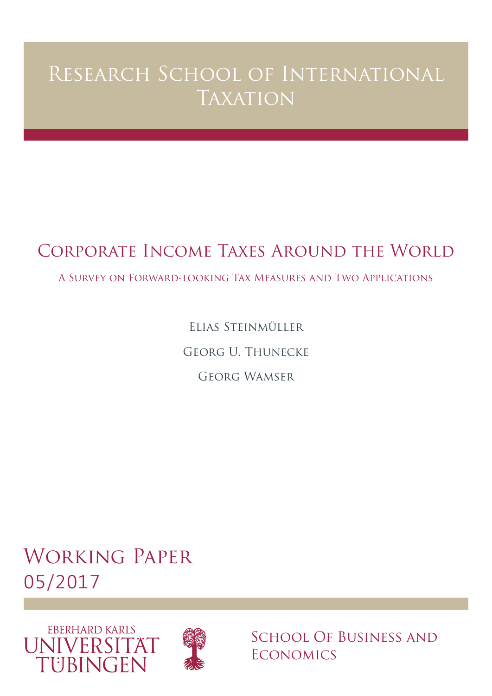# Research School of International **TAXATION**

# Corporate Income Taxes Around the World

A Survey on Forward-looking Tax Measures and Two Applications

Elias Steinmüller Georg U. Thunecke Georg Wamser

Working Paper 05/2017





School Of Business and **ECONOMICS**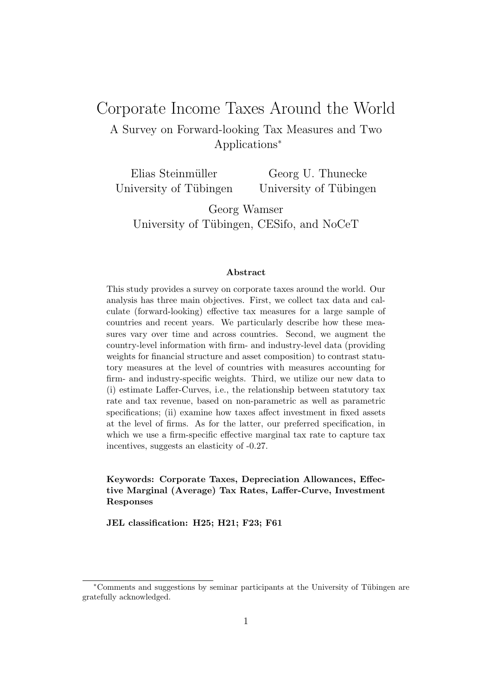## Corporate Income Taxes Around the World

A Survey on Forward-looking Tax Measures and Two Applications<sup>∗</sup>

Elias Steinmüller University of Tübingen Georg U. Thunecke University of Tübingen

Georg Wamser University of Tübingen, CESifo, and NoCeT

#### Abstract

This study provides a survey on corporate taxes around the world. Our analysis has three main objectives. First, we collect tax data and calculate (forward-looking) effective tax measures for a large sample of countries and recent years. We particularly describe how these measures vary over time and across countries. Second, we augment the country-level information with firm- and industry-level data (providing weights for financial structure and asset composition) to contrast statutory measures at the level of countries with measures accounting for firm- and industry-specific weights. Third, we utilize our new data to (i) estimate Laffer-Curves, i.e., the relationship between statutory tax rate and tax revenue, based on non-parametric as well as parametric specifications; (ii) examine how taxes affect investment in fixed assets at the level of firms. As for the latter, our preferred specification, in which we use a firm-specific effective marginal tax rate to capture tax incentives, suggests an elasticity of -0.27.

Keywords: Corporate Taxes, Depreciation Allowances, Effective Marginal (Average) Tax Rates, Laffer-Curve, Investment Responses

JEL classification: H25; H21; F23; F61

<sup>\*</sup>Comments and suggestions by seminar participants at the University of Tübingen are gratefully acknowledged.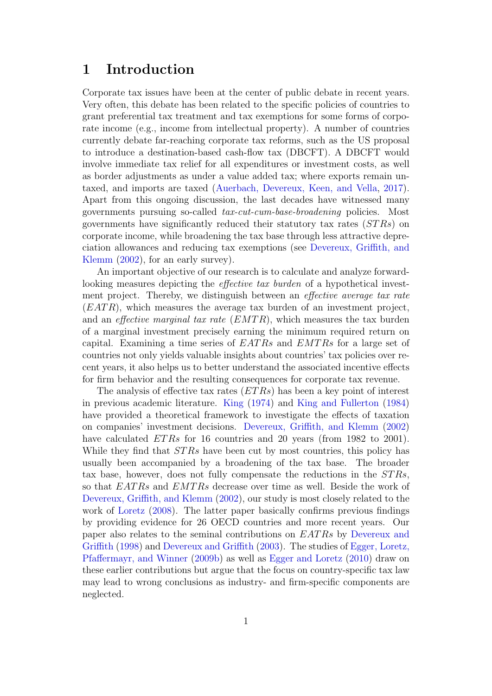### 1 Introduction

Corporate tax issues have been at the center of public debate in recent years. Very often, this debate has been related to the specific policies of countries to grant preferential tax treatment and tax exemptions for some forms of corporate income (e.g., income from intellectual property). A number of countries currently debate far-reaching corporate tax reforms, such as the US proposal to introduce a destination-based cash-flow tax (DBCFT). A DBCFT would involve immediate tax relief for all expenditures or investment costs, as well as border adjustments as under a value added tax; where exports remain untaxed, and imports are taxed [\(Auerbach, Devereux, Keen, and Vella,](#page-32-0) [2017\)](#page-32-0). Apart from this ongoing discussion, the last decades have witnessed many governments pursuing so-called tax-cut-cum-base-broadening policies. Most governments have significantly reduced their statutory tax rates  $(STRs)$  on corporate income, while broadening the tax base through less attractive depreciation allowances and reducing tax exemptions (see [Devereux, Griffith, and](#page-32-1) [Klemm](#page-32-1) [\(2002\)](#page-32-1), for an early survey).

An important objective of our research is to calculate and analyze forwardlooking measures depicting the effective tax burden of a hypothetical investment project. Thereby, we distinguish between an *effective average tax rate*  $(EATR)$ , which measures the average tax burden of an investment project, and an *effective marginal tax rate*  $(EMTR)$ , which measures the tax burden of a marginal investment precisely earning the minimum required return on capital. Examining a time series of  $EATRs$  and  $EMTRs$  for a large set of countries not only yields valuable insights about countries' tax policies over recent years, it also helps us to better understand the associated incentive effects for firm behavior and the resulting consequences for corporate tax revenue.

The analysis of effective tax rates  $(ETRs)$  has been a key point of interest in previous academic literature. [King](#page-33-0) [\(1974\)](#page-33-0) and [King and Fullerton](#page-33-1) [\(1984\)](#page-33-1) have provided a theoretical framework to investigate the effects of taxation on companies' investment decisions. [Devereux, Griffith, and Klemm](#page-32-1) [\(2002\)](#page-32-1) have calculated *ETRs* for 16 countries and 20 years (from 1982 to 2001). While they find that  $STRs$  have been cut by most countries, this policy has usually been accompanied by a broadening of the tax base. The broader tax base, however, does not fully compensate the reductions in the ST Rs, so that EATRs and EMTRs decrease over time as well. Beside the work of [Devereux, Griffith, and Klemm](#page-32-1) [\(2002\)](#page-32-1), our study is most closely related to the work of [Loretz](#page-33-2) [\(2008\)](#page-33-2). The latter paper basically confirms previous findings by providing evidence for 26 OECD countries and more recent years. Our paper also relates to the seminal contributions on EATRs by [Devereux and](#page-32-2) [Griffith](#page-32-2) [\(1998\)](#page-32-2) and [Devereux and Griffith](#page-32-3) [\(2003\)](#page-32-3). The studies of [Egger, Loretz,](#page-32-4) [Pfaffermayr, and Winner](#page-32-4) [\(2009b\)](#page-32-4) as well as [Egger and Loretz](#page-32-5) [\(2010\)](#page-32-5) draw on these earlier contributions but argue that the focus on country-specific tax law may lead to wrong conclusions as industry- and firm-specific components are neglected.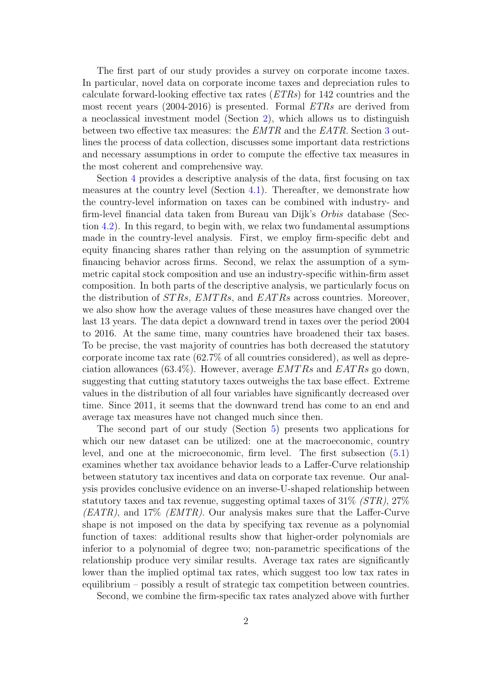The first part of our study provides a survey on corporate income taxes. In particular, novel data on corporate income taxes and depreciation rules to calculate forward-looking effective tax rates  $(ETRs)$  for 142 countries and the most recent years (2004-2016) is presented. Formal ETRs are derived from a neoclassical investment model (Section [2\)](#page-4-0), which allows us to distinguish between two effective tax measures: the EMTR and the EATR. Section [3](#page-7-0) outlines the process of data collection, discusses some important data restrictions and necessary assumptions in order to compute the effective tax measures in the most coherent and comprehensive way.

Section [4](#page-8-0) provides a descriptive analysis of the data, first focusing on tax measures at the country level (Section [4.1\)](#page-9-0). Thereafter, we demonstrate how the country-level information on taxes can be combined with industry- and firm-level financial data taken from Bureau van Dijk's Orbis database (Section [4.2\)](#page-17-0). In this regard, to begin with, we relax two fundamental assumptions made in the country-level analysis. First, we employ firm-specific debt and equity financing shares rather than relying on the assumption of symmetric financing behavior across firms. Second, we relax the assumption of a symmetric capital stock composition and use an industry-specific within-firm asset composition. In both parts of the descriptive analysis, we particularly focus on the distribution of  $STRs$ ,  $EMTRs$ , and  $EATRs$  across countries. Moreover, we also show how the average values of these measures have changed over the last 13 years. The data depict a downward trend in taxes over the period 2004 to 2016. At the same time, many countries have broadened their tax bases. To be precise, the vast majority of countries has both decreased the statutory corporate income tax rate (62.7% of all countries considered), as well as depreciation allowances (63.4%). However, average  $EMTRs$  and  $EATRs$  go down, suggesting that cutting statutory taxes outweighs the tax base effect. Extreme values in the distribution of all four variables have significantly decreased over time. Since 2011, it seems that the downward trend has come to an end and average tax measures have not changed much since then.

The second part of our study (Section [5\)](#page-21-0) presents two applications for which our new dataset can be utilized: one at the macroeconomic, country level, and one at the microeconomic, firm level. The first subsection [\(5.1\)](#page-21-1) examines whether tax avoidance behavior leads to a Laffer-Curve relationship between statutory tax incentives and data on corporate tax revenue. Our analysis provides conclusive evidence on an inverse-U-shaped relationship between statutory taxes and tax revenue, suggesting optimal taxes of  $31\%$  ( $STR$ ),  $27\%$  $(EATR)$ , and 17%  $(EMTR)$ . Our analysis makes sure that the Laffer-Curve shape is not imposed on the data by specifying tax revenue as a polynomial function of taxes: additional results show that higher-order polynomials are inferior to a polynomial of degree two; non-parametric specifications of the relationship produce very similar results. Average tax rates are significantly lower than the implied optimal tax rates, which suggest too low tax rates in equilibrium – possibly a result of strategic tax competition between countries.

Second, we combine the firm-specific tax rates analyzed above with further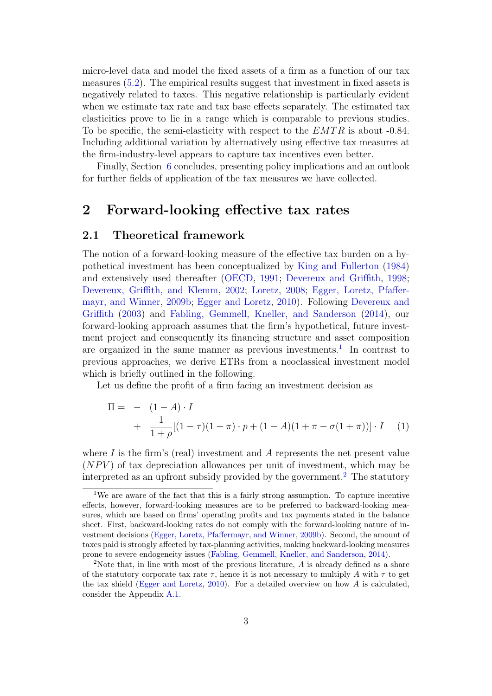micro-level data and model the fixed assets of a firm as a function of our tax measures [\(5.2\)](#page-25-0). The empirical results suggest that investment in fixed assets is negatively related to taxes. This negative relationship is particularly evident when we estimate tax rate and tax base effects separately. The estimated tax elasticities prove to lie in a range which is comparable to previous studies. To be specific, the semi-elasticity with respect to the  $EMTR$  is about -0.84. Including additional variation by alternatively using effective tax measures at the firm-industry-level appears to capture tax incentives even better.

Finally, Section [6](#page-31-0) concludes, presenting policy implications and an outlook for further fields of application of the tax measures we have collected.

### <span id="page-4-0"></span>2 Forward-looking effective tax rates

#### 2.1 Theoretical framework

The notion of a forward-looking measure of the effective tax burden on a hypothetical investment has been conceptualized by [King and Fullerton](#page-33-1) [\(1984\)](#page-33-1) and extensively used thereafter [\(OECD,](#page-33-3) [1991;](#page-33-3) [Devereux and Griffith,](#page-32-2) [1998;](#page-32-2) [Devereux, Griffith, and Klemm,](#page-32-1) [2002;](#page-32-1) [Loretz,](#page-33-2) [2008;](#page-33-2) [Egger, Loretz, Pfaffer](#page-32-4)[mayr, and Winner,](#page-32-4) [2009b;](#page-32-4) [Egger and Loretz,](#page-32-5) [2010\)](#page-32-5). Following [Devereux and](#page-32-3) [Griffith](#page-32-3) [\(2003\)](#page-32-3) and [Fabling, Gemmell, Kneller, and Sanderson](#page-33-4) [\(2014\)](#page-33-4), our forward-looking approach assumes that the firm's hypothetical, future investment project and consequently its financing structure and asset composition are organized in the same manner as previous investments.<sup>[1](#page-4-1)</sup> In contrast to previous approaches, we derive ETRs from a neoclassical investment model which is briefly outlined in the following.

Let us define the profit of a firm facing an investment decision as

$$
\Pi = - (1 - A) \cdot I
$$
  
+ 
$$
\frac{1}{1 + \rho} [(1 - \tau)(1 + \pi) \cdot p + (1 - A)(1 + \pi - \sigma(1 + \pi))] \cdot I
$$
 (1)

where  $I$  is the firm's (real) investment and  $A$  represents the net present value  $(NPV)$  of tax depreciation allowances per unit of investment, which may be interpreted as an upfront subsidy provided by the government.<sup>[2](#page-4-2)</sup> The statutory

<span id="page-4-1"></span><sup>&</sup>lt;sup>1</sup>We are aware of the fact that this is a fairly strong assumption. To capture incentive effects, however, forward-looking measures are to be preferred to backward-looking measures, which are based on firms' operating profits and tax payments stated in the balance sheet. First, backward-looking rates do not comply with the forward-looking nature of investment decisions [\(Egger, Loretz, Pfaffermayr, and Winner,](#page-32-4) [2009b\)](#page-32-4). Second, the amount of taxes paid is strongly affected by tax-planning activities, making backward-looking measures prone to severe endogeneity issues [\(Fabling, Gemmell, Kneller, and Sanderson,](#page-33-4) [2014\)](#page-33-4).

<span id="page-4-2"></span><sup>&</sup>lt;sup>2</sup>Note that, in line with most of the previous literature,  $A$  is already defined as a share of the statutory corporate tax rate  $\tau$ , hence it is not necessary to multiply A with  $\tau$  to get the tax shield [\(Egger and Loretz,](#page-32-5)  $2010$ ). For a detailed overview on how A is calculated, consider the Appendix [A.1.](#page-35-0)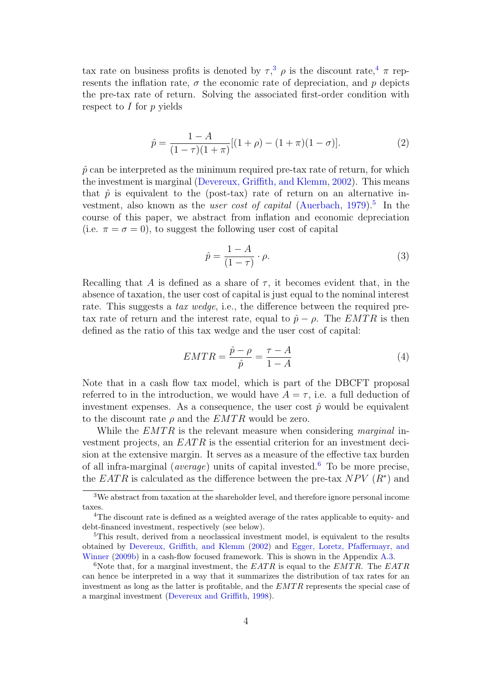tax rate on business profits is denoted by  $\tau$ ,<sup>[3](#page-5-0)</sup>  $\rho$  is the discount rate,<sup>[4](#page-5-1)</sup>  $\pi$  represents the inflation rate,  $\sigma$  the economic rate of depreciation, and p depicts the pre-tax rate of return. Solving the associated first-order condition with respect to  $I$  for  $p$  yields

$$
\hat{p} = \frac{1 - A}{(1 - \tau)(1 + \pi)} [(1 + \rho) - (1 + \pi)(1 - \sigma)].
$$
\n(2)

 $\hat{p}$  can be interpreted as the minimum required pre-tax rate of return, for which the investment is marginal [\(Devereux, Griffith, and Klemm,](#page-32-1) [2002\)](#page-32-1). This means that  $\hat{p}$  is equivalent to the (post-tax) rate of return on an alternative investment, also known as the *user cost of capital* [\(Auerbach,](#page-32-6) [1979\)](#page-32-6).<sup>[5](#page-5-2)</sup> In the course of this paper, we abstract from inflation and economic depreciation (i.e.  $\pi = \sigma = 0$ ), to suggest the following user cost of capital

<span id="page-5-4"></span>
$$
\hat{p} = \frac{1 - A}{(1 - \tau)} \cdot \rho.
$$
\n(3)

Recalling that A is defined as a share of  $\tau$ , it becomes evident that, in the absence of taxation, the user cost of capital is just equal to the nominal interest rate. This suggests a tax wedge, i.e., the difference between the required pretax rate of return and the interest rate, equal to  $\hat{p} - \rho$ . The EMTR is then defined as the ratio of this tax wedge and the user cost of capital:

$$
EMTR = \frac{\hat{p} - \rho}{\hat{p}} = \frac{\tau - A}{1 - A} \tag{4}
$$

Note that in a cash flow tax model, which is part of the DBCFT proposal referred to in the introduction, we would have  $A = \tau$ , i.e. a full deduction of investment expenses. As a consequence, the user cost  $\hat{p}$  would be equivalent to the discount rate  $\rho$  and the  $EMTR$  would be zero.

While the  $EMTR$  is the relevant measure when considering marginal investment projects, an  $EATR$  is the essential criterion for an investment decision at the extensive margin. It serves as a measure of the effective tax burden of all infra-marginal (*average*) units of capital invested.<sup>[6](#page-5-3)</sup> To be more precise, the  $EATR$  is calculated as the difference between the pre-tax  $NPV(R^*)$  and

<span id="page-5-0"></span><sup>3</sup>We abstract from taxation at the shareholder level, and therefore ignore personal income taxes.

<span id="page-5-1"></span><sup>4</sup>The discount rate is defined as a weighted average of the rates applicable to equity- and debt-financed investment, respectively (see below).

<span id="page-5-2"></span><sup>&</sup>lt;sup>5</sup>This result, derived from a neoclassical investment model, is equivalent to the results obtained by [Devereux, Griffith, and Klemm](#page-32-1) [\(2002\)](#page-32-1) and [Egger, Loretz, Pfaffermayr, and](#page-32-4) [Winner](#page-32-4) [\(2009b\)](#page-32-4) in a cash-flow focused framework. This is shown in the Appendix [A.3.](#page-36-0)

<span id="page-5-3"></span><sup>&</sup>lt;sup>6</sup>Note that, for a marginal investment, the  $EATR$  is equal to the  $EMTR$ . The  $EATR$ can hence be interpreted in a way that it summarizes the distribution of tax rates for an investment as long as the latter is profitable, and the EMTR represents the special case of a marginal investment [\(Devereux and Griffith,](#page-32-2) [1998\)](#page-32-2).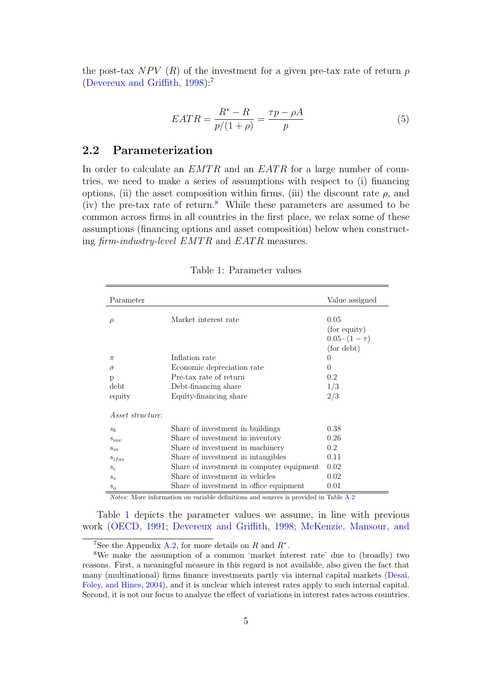the post-tax  $NPV(R)$  of the investment for a given pre-tax rate of return p [\(Devereux and Griffith,](#page-32-2) [1998\)](#page-32-2):[7](#page-6-0)

<span id="page-6-3"></span>
$$
EATR = \frac{R^* - R}{p/(1+\rho)} = \frac{\tau p - \rho A}{p}
$$
\n<sup>(5)</sup>

#### 2.2 Parameterization

In order to calculate an  $EMTR$  and an  $EATR$  for a large number of countries, we need to make a series of assumptions with respect to (i) financing options, (ii) the asset composition within firms, (iii) the discount rate  $\rho$ , and (iv) the pre-tax rate of return.<sup>[8](#page-6-1)</sup> While these parameters are assumed to be common across firms in all countries in the first place, we relax some of these assumptions (financing options and asset composition) below when constructing  $\lim_{m \to \infty}$  industry-level  $EMTR$  and  $EATR$  measures.

| Parameter               |                                           | Value assigned          |
|-------------------------|-------------------------------------------|-------------------------|
| ρ                       | Market interest rate                      | 0.05                    |
|                         |                                           | (for equity)            |
|                         |                                           | $0.05 \cdot (1 - \tau)$ |
|                         |                                           | (for debt)              |
| π                       | Inflation rate                            | $\theta$                |
| $\sigma$                | Economic depreciation rate                | 0                       |
| p                       | Pre-tax rate of return                    | 0.2                     |
| debt                    | Debt-financing share                      | 1/3                     |
| equity                  | Equity-financing share                    | 2/3                     |
| <i>Asset structure:</i> |                                           |                         |
| $s_b$                   | Share of investment in buildings          | 0.38                    |
| $S_{inv}$               | Share of investment in inventory          | 0.26                    |
| $s_m$                   | Share of investment in machinery          | 0.2                     |
| Sifas                   | Share of investment in intangibles        | 0.11                    |
| $s_c$                   | Share of investment in computer equipment | 0.02                    |
| $s_v$                   | Share of investment in vehicles           | 0.02                    |
| $\boldsymbol{S}_{O}$    | Share of investment in office equipment   | 0.01                    |

<span id="page-6-2"></span>Table 1: Parameter values

Notes: More information on variable definitions and sources is provided in Table [A.2](#page-38-0)

Table [1](#page-6-2) depicts the parameter values we assume, in line with previous work [\(OECD,](#page-33-3) [1991;](#page-33-3) [Devereux and Griffith,](#page-32-2) [1998;](#page-32-2) [McKenzie, Mansour, and](#page-33-5)

<span id="page-6-1"></span><span id="page-6-0"></span><sup>&</sup>lt;sup>7</sup>See the Appendix [A.2, for more details on](#page-33-5) R and  $R^*$ .

<sup>8</sup>[We make the assumption of a common 'market interest rate' due to \(broadly\) two](#page-33-5) [reasons. First, a meaningful measure in this regard is not available, also given the fact that](#page-33-5) [many \(multinational\) firms finance investments partly via internal capital markets \(Desai,](#page-33-5) [Foley, and Hines,](#page-32-7) [2004\), and it is unclear which interest rates apply to such internal capital.](#page-33-5) [Second, it is not our focus to analyze the effect of variations in interest rates across countries.](#page-33-5)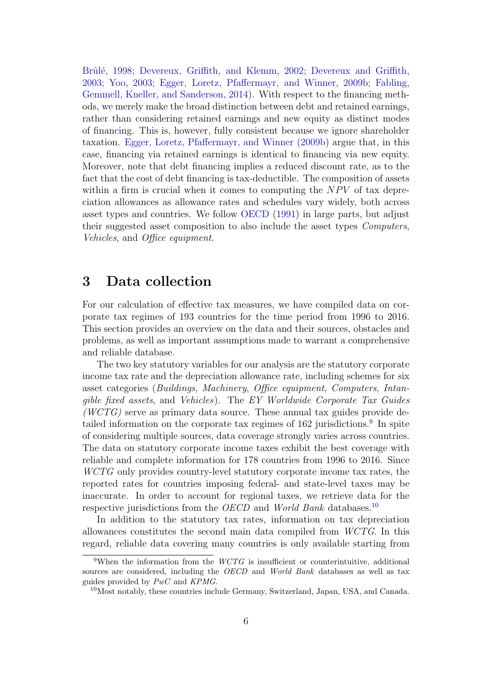Brûlé, [1998;](#page-33-5) [Devereux, Griffith, and Klemm,](#page-32-1) [2002;](#page-32-1) [Devereux and Griffith,](#page-32-3) [2003;](#page-32-3) [Yoo,](#page-33-6) [2003;](#page-33-6) [Egger, Loretz, Pfaffermayr, and Winner,](#page-32-4) [2009b;](#page-32-4) [Fabling,](#page-33-4) [Gemmell, Kneller, and Sanderson,](#page-33-4) [2014\)](#page-33-4). With respect to the financing methods, we merely make the broad distinction between debt and retained earnings, rather than considering retained earnings and new equity as distinct modes of financing. This is, however, fully consistent because we ignore shareholder taxation. [Egger, Loretz, Pfaffermayr, and Winner](#page-32-4) [\(2009b\)](#page-32-4) argue that, in this case, financing via retained earnings is identical to financing via new equity. Moreover, note that debt financing implies a reduced discount rate, as to the fact that the cost of debt financing is tax-deductible. The composition of assets within a firm is crucial when it comes to computing the  $NPV$  of tax depreciation allowances as allowance rates and schedules vary widely, both across asset types and countries. We follow [OECD](#page-33-3) [\(1991\)](#page-33-3) in large parts, but adjust their suggested asset composition to also include the asset types Computers, Vehicles, and Office equipment.

### <span id="page-7-0"></span>3 Data collection

For our calculation of effective tax measures, we have compiled data on corporate tax regimes of 193 countries for the time period from 1996 to 2016. This section provides an overview on the data and their sources, obstacles and problems, as well as important assumptions made to warrant a comprehensive and reliable database.

The two key statutory variables for our analysis are the statutory corporate income tax rate and the depreciation allowance rate, including schemes for six asset categories (Buildings, Machinery, Office equipment, Computers, Intangible fixed assets, and Vehicles). The EY Worldwide Corporate Tax Guides  $(WCTG)$  serve as primary data source. These annual tax guides provide de-tailed information on the corporate tax regimes of 162 jurisdictions.<sup>[9](#page-7-1)</sup> In spite of considering multiple sources, data coverage strongly varies across countries. The data on statutory corporate income taxes exhibit the best coverage with reliable and complete information for 178 countries from 1996 to 2016. Since WCTG only provides country-level statutory corporate income tax rates, the reported rates for countries imposing federal- and state-level taxes may be inaccurate. In order to account for regional taxes, we retrieve data for the respective jurisdictions from the *OECD* and *World Bank* databases.<sup>[10](#page-7-2)</sup>

In addition to the statutory tax rates, information on tax depreciation allowances constitutes the second main data compiled from WCTG. In this regard, reliable data covering many countries is only available starting from

<span id="page-7-1"></span><sup>&</sup>lt;sup>9</sup>When the information from the  $WCTG$  is insufficient or counterintuitive, additional sources are considered, including the OECD and World Bank databases as well as tax guides provided by  $PwC$  and  $KPMG$ .

<span id="page-7-2"></span><sup>10</sup>Most notably, these countries include Germany, Switzerland, Japan, USA, and Canada.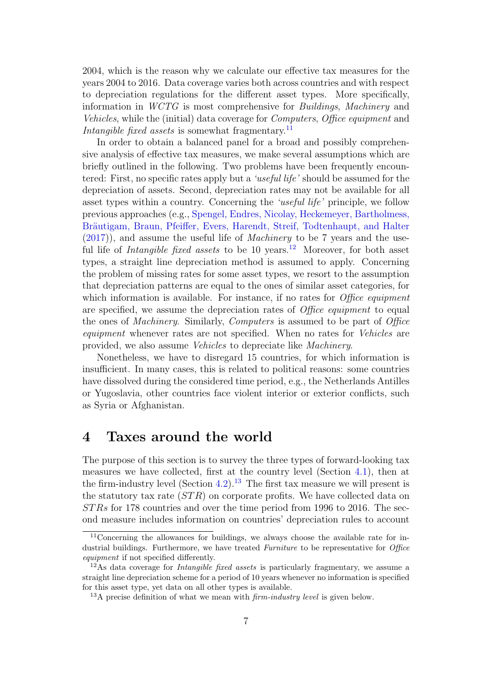2004, which is the reason why we calculate our effective tax measures for the years 2004 to 2016. Data coverage varies both across countries and with respect to depreciation regulations for the different asset types. More specifically, information in WCTG is most comprehensive for Buildings, Machinery and Vehicles, while the (initial) data coverage for Computers, Office equipment and Intangible fixed assets is somewhat fragmentary.<sup>[11](#page-8-1)</sup>

In order to obtain a balanced panel for a broad and possibly comprehensive analysis of effective tax measures, we make several assumptions which are briefly outlined in the following. Two problems have been frequently encountered: First, no specific rates apply but a 'useful life' should be assumed for the depreciation of assets. Second, depreciation rates may not be available for all asset types within a country. Concerning the 'useful life' principle, we follow previous approaches (e.g., [Spengel, Endres, Nicolay, Heckemeyer, Bartholmess,](#page-33-7) Bräutigam, Braun, Pfeiffer, Evers, Harendt, Streif, Todtenhaupt, and Halter [\(2017\)](#page-33-7)), and assume the useful life of Machinery to be 7 years and the useful life of *Intangible fixed assets* to be 10 years.<sup>[12](#page-8-2)</sup> Moreover, for both asset types, a straight line depreciation method is assumed to apply. Concerning the problem of missing rates for some asset types, we resort to the assumption that depreciation patterns are equal to the ones of similar asset categories, for which information is available. For instance, if no rates for *Office equipment* are specified, we assume the depreciation rates of *Office equipment* to equal the ones of Machinery. Similarly, Computers is assumed to be part of Office equipment whenever rates are not specified. When no rates for Vehicles are provided, we also assume Vehicles to depreciate like Machinery.

Nonetheless, we have to disregard 15 countries, for which information is insufficient. In many cases, this is related to political reasons: some countries have dissolved during the considered time period, e.g., the Netherlands Antilles or Yugoslavia, other countries face violent interior or exterior conflicts, such as Syria or Afghanistan.

#### <span id="page-8-0"></span>4 Taxes around the world

The purpose of this section is to survey the three types of forward-looking tax measures we have collected, first at the country level (Section [4.1\)](#page-9-0), then at the firm-industry level (Section [4.2\)](#page-17-0).<sup>[13](#page-8-3)</sup> The first tax measure we will present is the statutory tax rate  $(STR)$  on corporate profits. We have collected data on ST Rs for 178 countries and over the time period from 1996 to 2016. The second measure includes information on countries' depreciation rules to account

<span id="page-8-1"></span><sup>&</sup>lt;sup>11</sup>Concerning the allowances for buildings, we always choose the available rate for industrial buildings. Furthermore, we have treated Furniture to be representative for *Office* equipment if not specified differently.

<span id="page-8-2"></span> $12\text{As}$  data coverage for *Intangible fixed assets* is particularly fragmentary, we assume a straight line depreciation scheme for a period of 10 years whenever no information is specified for this asset type, yet data on all other types is available.

<span id="page-8-3"></span> $13A$  precise definition of what we mean with *firm-industry level* is given below.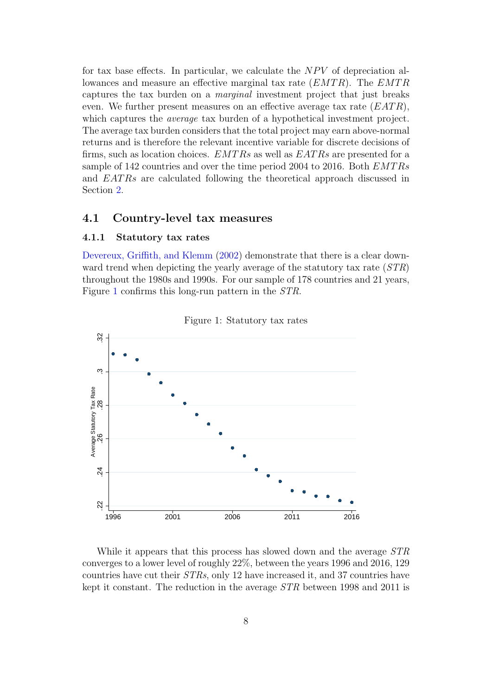for tax base effects. In particular, we calculate the  $NPV$  of depreciation allowances and measure an effective marginal tax rate  $(EMTR)$ . The  $EMTR$ captures the tax burden on a marginal investment project that just breaks even. We further present measures on an effective average tax rate  $(ERTR)$ , which captures the *average* tax burden of a hypothetical investment project. The average tax burden considers that the total project may earn above-normal returns and is therefore the relevant incentive variable for discrete decisions of firms, such as location choices.  $EMTRs$  as well as  $EATRs$  are presented for a sample of 142 countries and over the time period 2004 to 2016. Both  $EMTRs$ and EATRs are calculated following the theoretical approach discussed in Section [2.](#page-4-0)

#### <span id="page-9-0"></span>4.1 Country-level tax measures

#### 4.1.1 Statutory tax rates

[Devereux, Griffith, and Klemm](#page-32-1) [\(2002\)](#page-32-1) demonstrate that there is a clear downward trend when depicting the yearly average of the statutory tax rate  $(STR)$ throughout the 1980s and 1990s. For our sample of 178 countries and 21 years, Figure [1](#page-9-1) confirms this long-run pattern in the STR.



<span id="page-9-1"></span>Figure 1: Statutory tax rates

While it appears that this process has slowed down and the average  $STR$ converges to a lower level of roughly 22%, between the years 1996 and 2016, 129 countries have cut their STRs, only 12 have increased it, and 37 countries have kept it constant. The reduction in the average STR between 1998 and 2011 is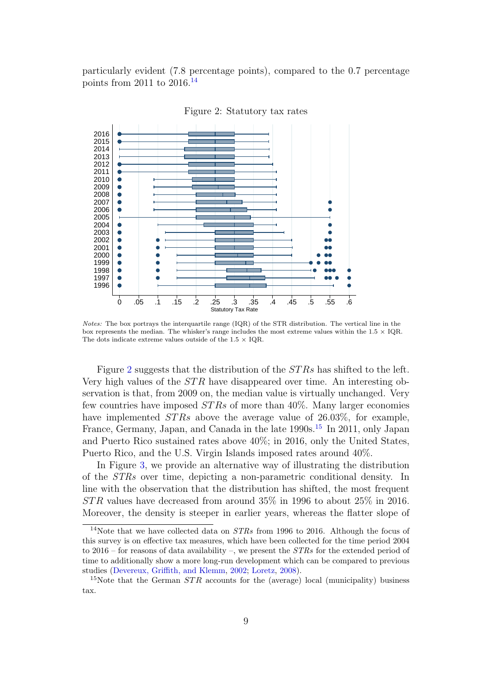particularly evident (7.8 percentage points), compared to the 0.7 percentage points from 2011 to 2016.[14](#page-10-0)



<span id="page-10-1"></span>Figure 2: Statutory tax rates

Notes: The box portrays the interquartile range (IQR) of the STR distribution. The vertical line in the box represents the median. The whisker's range includes the most extreme values within the  $1.5 \times IQR$ . The dots indicate extreme values outside of the  $1.5 \times$  IQR.

Figure [2](#page-10-1) suggests that the distribution of the  $STRs$  has shifted to the left. Very high values of the  $STR$  have disappeared over time. An interesting observation is that, from 2009 on, the median value is virtually unchanged. Very few countries have imposed  $STRs$  of more than 40%. Many larger economies have implemented  $STRs$  above the average value of 26.03%, for example, France, Germany, Japan, and Canada in the late 1990s.<sup>[15](#page-10-2)</sup> In 2011, only Japan and Puerto Rico sustained rates above 40%; in 2016, only the United States, Puerto Rico, and the U.S. Virgin Islands imposed rates around 40%.

In Figure [3,](#page-11-0) we provide an alternative way of illustrating the distribution of the STRs over time, depicting a non-parametric conditional density. In line with the observation that the distribution has shifted, the most frequent  $STR$  values have decreased from around 35% in 1996 to about 25% in 2016. Moreover, the density is steeper in earlier years, whereas the flatter slope of

<span id="page-10-0"></span><sup>&</sup>lt;sup>14</sup>Note that we have collected data on  $STRs$  from 1996 to 2016. Although the focus of this survey is on effective tax measures, which have been collected for the time period 2004 to 2016 – for reasons of data availability –, we present the  $STRs$  for the extended period of time to additionally show a more long-run development which can be compared to previous studies [\(Devereux, Griffith, and Klemm,](#page-32-1) [2002;](#page-32-1) [Loretz,](#page-33-2) [2008\)](#page-33-2).

<span id="page-10-2"></span><sup>&</sup>lt;sup>15</sup>Note that the German  $STR$  accounts for the (average) local (municipality) business tax.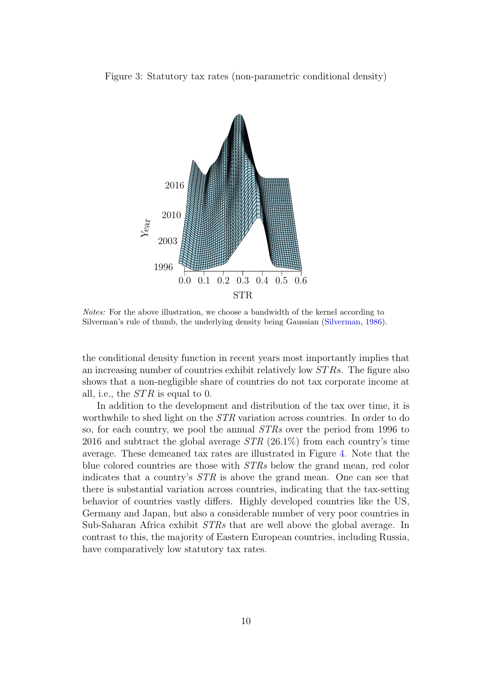Figure 3: Statutory tax rates (non-parametric conditional density)

<span id="page-11-0"></span>

Notes: For the above illustration, we choose a bandwidth of the kernel according to Silverman's rule of thumb, the underlying density being Gaussian [\(Silverman,](#page-33-8) [1986\)](#page-33-8).

the conditional density function in recent years most importantly implies that an increasing number of countries exhibit relatively low ST Rs. The figure also shows that a non-negligible share of countries do not tax corporate income at all, i.e., the  $STR$  is equal to 0.

In addition to the development and distribution of the tax over time, it is worthwhile to shed light on the STR variation across countries. In order to do so, for each country, we pool the annual STRs over the period from 1996 to 2016 and subtract the global average  $STR$  (26.1%) from each country's time average. These demeaned tax rates are illustrated in Figure [4.](#page-12-0) Note that the blue colored countries are those with STRs below the grand mean, red color indicates that a country's STR is above the grand mean. One can see that there is substantial variation across countries, indicating that the tax-setting behavior of countries vastly differs. Highly developed countries like the US, Germany and Japan, but also a considerable number of very poor countries in Sub-Saharan Africa exhibit STRs that are well above the global average. In contrast to this, the majority of Eastern European countries, including Russia, have comparatively low statutory tax rates.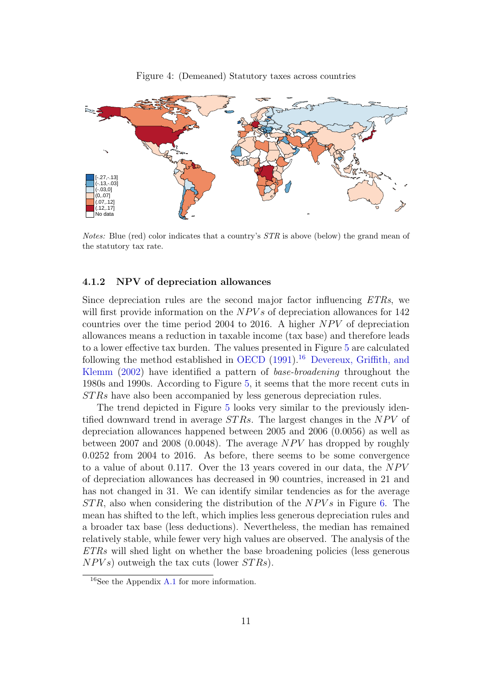<span id="page-12-0"></span>Figure 4: (Demeaned) Statutory taxes across countries



Notes: Blue (red) color indicates that a country's  $STR$  is above (below) the grand mean of the statutory tax rate.

#### 4.1.2 NPV of depreciation allowances

Since depreciation rules are the second major factor influencing ETRs, we will first provide information on the  $NPVs$  of depreciation allowances for 142 countries over the time period 2004 to 2016. A higher  $NPV$  of depreciation allowances means a reduction in taxable income (tax base) and therefore leads to a lower effective tax burden. The values presented in Figure [5](#page-13-0) are calculated following the method established in [OECD](#page-33-3)  $(1991)$ <sup>[16](#page-12-1)</sup> [Devereux, Griffith, and](#page-32-1) [Klemm](#page-32-1) [\(2002\)](#page-32-1) have identified a pattern of base-broadening throughout the 1980s and 1990s. According to Figure [5,](#page-13-0) it seems that the more recent cuts in ST Rs have also been accompanied by less generous depreciation rules.

The trend depicted in Figure [5](#page-13-0) looks very similar to the previously identified downward trend in average  $STRs$ . The largest changes in the  $NPV$  of depreciation allowances happened between 2005 and 2006 (0.0056) as well as between 2007 and 2008 (0.0048). The average  $NPV$  has dropped by roughly 0.0252 from 2004 to 2016. As before, there seems to be some convergence to a value of about 0.117. Over the 13 years covered in our data, the  $NPV$ of depreciation allowances has decreased in 90 countries, increased in 21 and has not changed in 31. We can identify similar tendencies as for the average  $STR$ , also when considering the distribution of the  $NPVs$  in Figure [6.](#page-13-1) The mean has shifted to the left, which implies less generous depreciation rules and a broader tax base (less deductions). Nevertheless, the median has remained relatively stable, while fewer very high values are observed. The analysis of the ETRs will shed light on whether the base broadening policies (less generous  $NPVs$  outweigh the tax cuts (lower  $STRs$ ).

<span id="page-12-1"></span><sup>16</sup>See the Appendix [A.1](#page-35-0) for more information.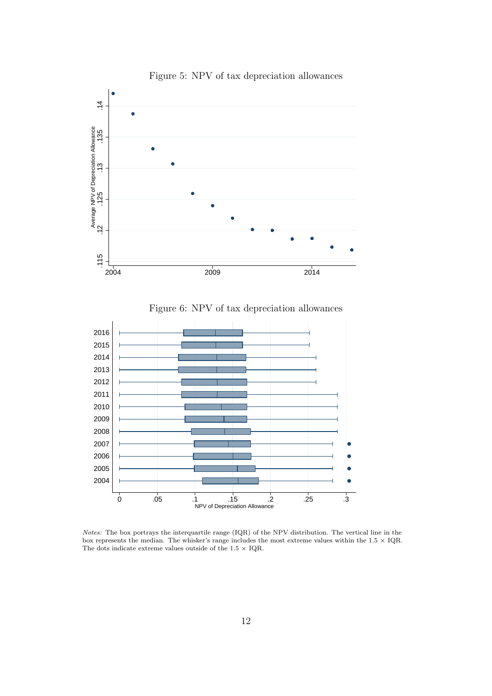

<span id="page-13-0"></span>Figure 5: NPV of tax depreciation allowances

<span id="page-13-1"></span>Figure 6: NPV of tax depreciation allowances



Notes: The box portrays the interquartile range (IQR) of the NPV distribution. The vertical line in the box represents the median. The whisker's range includes the most extreme values within the  $1.5 \times IQR$ . The dots indicate extreme values outside of the 1.5  $\times$  IQR.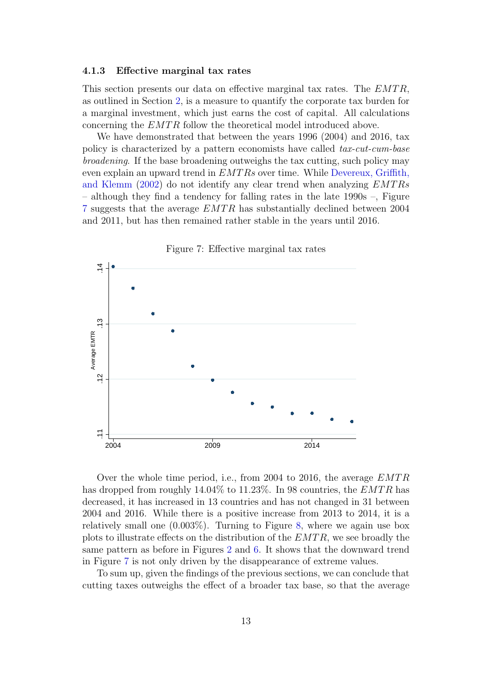#### 4.1.3 Effective marginal tax rates

This section presents our data on effective marginal tax rates. The  $EMTR$ , as outlined in Section [2,](#page-4-0) is a measure to quantify the corporate tax burden for a marginal investment, which just earns the cost of capital. All calculations concerning the EMTR follow the theoretical model introduced above.

We have demonstrated that between the years 1996 (2004) and 2016, tax policy is characterized by a pattern economists have called tax-cut-cum-base broadening. If the base broadening outweighs the tax cutting, such policy may even explain an upward trend in  $EMTRs$  over time. While [Devereux, Griffith,](#page-32-1) [and Klemm](#page-32-1) [\(2002\)](#page-32-1) do not identify any clear trend when analyzing  $EMTRs$ – although they find a tendency for falling rates in the late 1990s –, Figure [7](#page-14-0) suggests that the average  $EMTR$  has substantially declined between 2004 and 2011, but has then remained rather stable in the years until 2016.

<span id="page-14-0"></span>

Over the whole time period, i.e., from 2004 to 2016, the average  $EMTR$ has dropped from roughly  $14.04\%$  to  $11.23\%$ . In 98 countries, the *EMTR* has decreased, it has increased in 13 countries and has not changed in 31 between 2004 and 2016. While there is a positive increase from 2013 to 2014, it is a relatively small one  $(0.003\%)$ . Turning to Figure [8,](#page-15-0) where we again use box plots to illustrate effects on the distribution of the  $EMTR$ , we see broadly the same pattern as before in Figures [2](#page-10-1) and [6.](#page-13-1) It shows that the downward trend in Figure [7](#page-14-0) is not only driven by the disappearance of extreme values.

To sum up, given the findings of the previous sections, we can conclude that cutting taxes outweighs the effect of a broader tax base, so that the average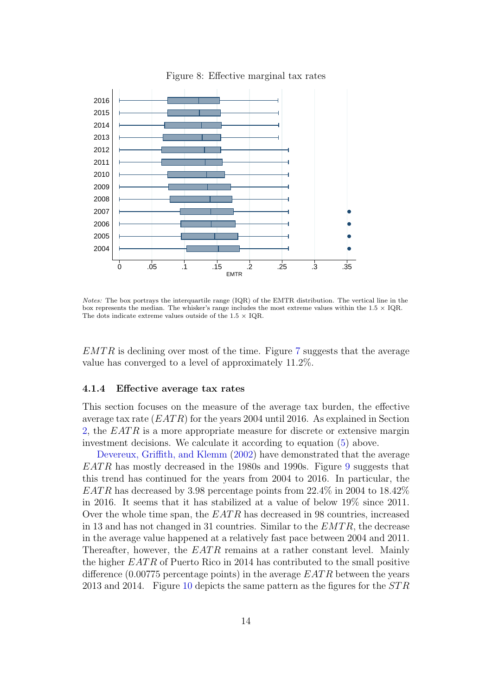

<span id="page-15-0"></span>Figure 8: Effective marginal tax rates

Notes: The box portrays the interquartile range (IQR) of the EMTR distribution. The vertical line in the box represents the median. The whisker's range includes the most extreme values within the  $1.5 \times$  IQR. The dots indicate extreme values outside of the  $1.5 \times$  IOR.

 $EMTR$  is declining over most of the time. Figure [7](#page-14-0) suggests that the average value has converged to a level of approximately 11.2%.

#### <span id="page-15-1"></span>4.1.4 Effective average tax rates

This section focuses on the measure of the average tax burden, the effective average tax rate  $(EATR)$  for the years 2004 until 2016. As explained in Section [2,](#page-4-0) the  $EATR$  is a more appropriate measure for discrete or extensive margin investment decisions. We calculate it according to equation [\(5\)](#page-6-3) above.

[Devereux, Griffith, and Klemm](#page-32-1) [\(2002\)](#page-32-1) have demonstrated that the average  $EATR$  has mostly decreased in the 1[9](#page-16-0)80s and 1990s. Figure 9 suggests that this trend has continued for the years from 2004 to 2016. In particular, the  $EATR$  has decreased by 3.98 percentage points from 22.4% in 2004 to 18.42% in 2016. It seems that it has stabilized at a value of below 19% since 2011. Over the whole time span, the  $EATR$  has decreased in 98 countries, increased in 13 and has not changed in 31 countries. Similar to the  $EMTR$ , the decrease in the average value happened at a relatively fast pace between 2004 and 2011. Thereafter, however, the  $EATR$  remains at a rather constant level. Mainly the higher  $EATR$  of Puerto Rico in 2014 has contributed to the small positive difference  $(0.00775$  percentage points) in the average  $EATR$  between the years 2013 and 2014. Figure [10](#page-16-1) depicts the same pattern as the figures for the  $STR$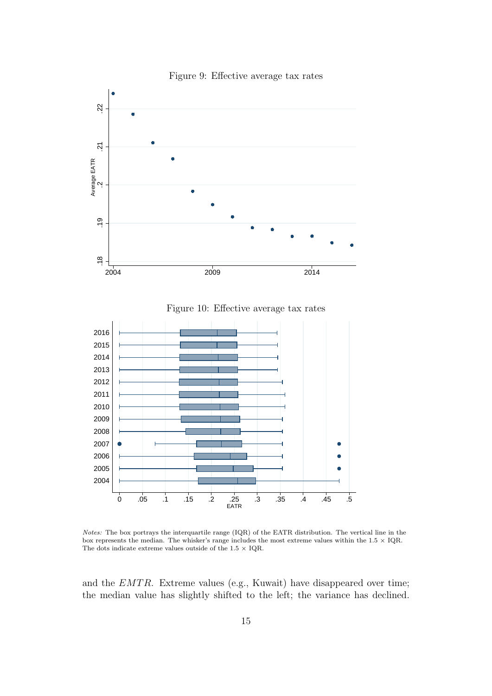

<span id="page-16-0"></span>Figure 9: Effective average tax rates

<span id="page-16-1"></span>Figure 10: Effective average tax rates



Notes: The box portrays the interquartile range (IQR) of the EATR distribution. The vertical line in the box represents the median. The whisker's range includes the most extreme values within the  $1.5 \times IQR$ . The dots indicate extreme values outside of the 1.5  $\times$  IQR.

and the  $EMTR$ . Extreme values (e.g., Kuwait) have disappeared over time; the median value has slightly shifted to the left; the variance has declined.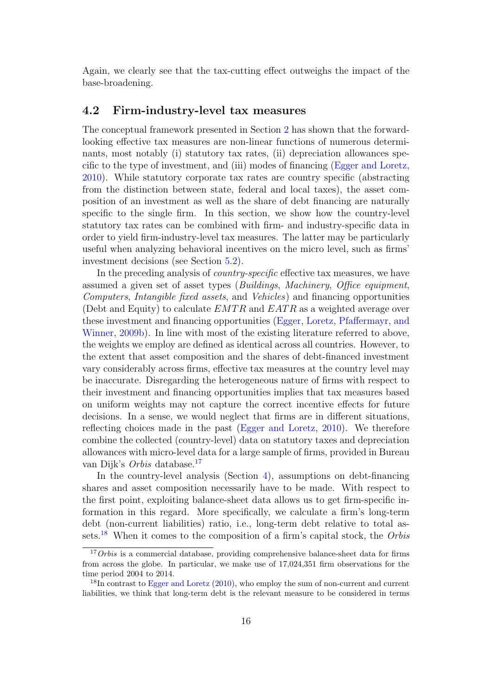Again, we clearly see that the tax-cutting effect outweighs the impact of the base-broadening.

#### <span id="page-17-0"></span>4.2 Firm-industry-level tax measures

The conceptual framework presented in Section [2](#page-4-0) has shown that the forwardlooking effective tax measures are non-linear functions of numerous determinants, most notably (i) statutory tax rates, (ii) depreciation allowances specific to the type of investment, and (iii) modes of financing [\(Egger and Loretz,](#page-32-5) [2010\)](#page-32-5). While statutory corporate tax rates are country specific (abstracting from the distinction between state, federal and local taxes), the asset composition of an investment as well as the share of debt financing are naturally specific to the single firm. In this section, we show how the country-level statutory tax rates can be combined with firm- and industry-specific data in order to yield firm-industry-level tax measures. The latter may be particularly useful when analyzing behavioral incentives on the micro level, such as firms' investment decisions (see Section [5.2\)](#page-25-0).

In the preceding analysis of *country-specific* effective tax measures, we have assumed a given set of asset types (Buildings, Machinery, Office equipment, Computers, Intangible fixed assets, and Vehicles) and financing opportunities (Debt and Equity) to calculate  $EMTR$  and  $EATR$  as a weighted average over these investment and financing opportunities [\(Egger, Loretz, Pfaffermayr, and](#page-32-4) [Winner,](#page-32-4) [2009b\)](#page-32-4). In line with most of the existing literature referred to above, the weights we employ are defined as identical across all countries. However, to the extent that asset composition and the shares of debt-financed investment vary considerably across firms, effective tax measures at the country level may be inaccurate. Disregarding the heterogeneous nature of firms with respect to their investment and financing opportunities implies that tax measures based on uniform weights may not capture the correct incentive effects for future decisions. In a sense, we would neglect that firms are in different situations, reflecting choices made in the past [\(Egger and Loretz,](#page-32-5) [2010\)](#page-32-5). We therefore combine the collected (country-level) data on statutory taxes and depreciation allowances with micro-level data for a large sample of firms, provided in Bureau van Dijk's Orbis database.[17](#page-17-1)

In the country-level analysis (Section [4\)](#page-8-0), assumptions on debt-financing shares and asset composition necessarily have to be made. With respect to the first point, exploiting balance-sheet data allows us to get firm-specific information in this regard. More specifically, we calculate a firm's long-term debt (non-current liabilities) ratio, i.e., long-term debt relative to total as-sets.<sup>[18](#page-17-2)</sup> When it comes to the composition of a firm's capital stock, the Orbis

<span id="page-17-1"></span><sup>&</sup>lt;sup>17</sup>Orbis is a commercial database, providing comprehensive balance-sheet data for firms from across the globe. In particular, we make use of 17,024,351 firm observations for the time period 2004 to 2014.

<span id="page-17-2"></span><sup>&</sup>lt;sup>18</sup>In contrast to [Egger and Loretz](#page-32-5) [\(2010\)](#page-32-5), who employ the sum of non-current and current liabilities, we think that long-term debt is the relevant measure to be considered in terms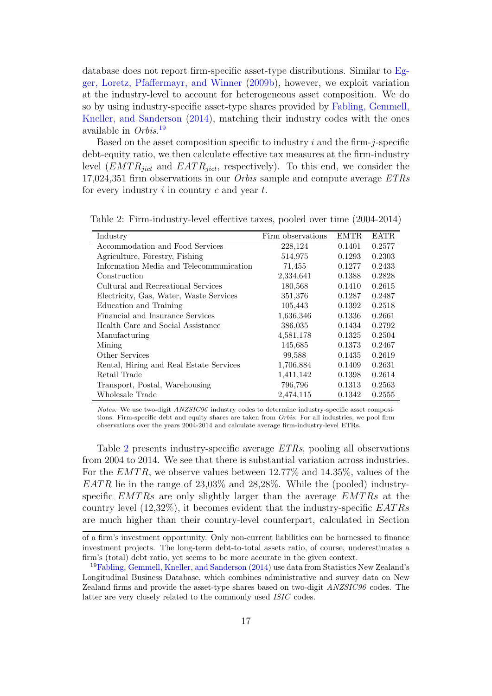database does not report firm-specific asset-type distributions. Similar to [Eg](#page-32-4)[ger, Loretz, Pfaffermayr, and Winner](#page-32-4) [\(2009b\)](#page-32-4), however, we exploit variation at the industry-level to account for heterogeneous asset composition. We do so by using industry-specific asset-type shares provided by [Fabling, Gemmell,](#page-33-4) [Kneller, and Sanderson](#page-33-4) [\(2014\)](#page-33-4), matching their industry codes with the ones available in Orbis. [19](#page-18-0)

Based on the asset composition specific to industry  $i$  and the firm- $j$ -specific debt-equity ratio, we then calculate effective tax measures at the firm-industry level  $(EMTR_{ijct}$  and  $EATR_{jict}$ , respectively). To this end, we consider the 17,024,351 firm observations in our Orbis sample and compute average ETRs for every industry  $i$  in country  $c$  and year  $t$ .

| Industry                                | Firm observations | <b>EMTR</b> | <b>EATR</b> |
|-----------------------------------------|-------------------|-------------|-------------|
| Accommodation and Food Services         | 228,124           | 0.1401      | 0.2577      |
| Agriculture, Forestry, Fishing          | 514,975           | 0.1293      | 0.2303      |
| Information Media and Telecommunication | 71,455            | 0.1277      | 0.2433      |
| Construction                            | 2,334,641         | 0.1388      | 0.2828      |
| Cultural and Recreational Services      | 180,568           | 0.1410      | 0.2615      |
| Electricity, Gas, Water, Waste Services | 351,376           | 0.1287      | 0.2487      |
| Education and Training                  | 105,443           | 0.1392      | 0.2518      |
| Financial and Insurance Services        | 1,636,346         | 0.1336      | 0.2661      |
| Health Care and Social Assistance       | 386,035           | 0.1434      | 0.2792      |
| Manufacturing                           | 4,581,178         | 0.1325      | 0.2504      |
| Mining                                  | 145,685           | 0.1373      | 0.2467      |
| Other Services                          | 99,588            | 0.1435      | 0.2619      |
| Rental, Hiring and Real Estate Services | 1,706,884         | 0.1409      | 0.2631      |
| Retail Trade                            | 1,411,142         | 0.1398      | 0.2614      |
| Transport, Postal, Warehousing          | 796,796           | 0.1313      | 0.2563      |
| Wholesale Trade                         | 2,474,115         | 0.1342      | 0.2555      |

<span id="page-18-1"></span>Table 2: Firm-industry-level effective taxes, pooled over time (2004-2014)

Notes: We use two-digit ANZSIC96 industry codes to determine industry-specific asset compositions. Firm-specific debt and equity shares are taken from Orbis. For all industries, we pool firm observations over the years 2004-2014 and calculate average firm-industry-level ETRs.

Table [2](#page-18-1) presents industry-specific average ETRs, pooling all observations from 2004 to 2014. We see that there is substantial variation across industries. For the  $EMTR$ , we observe values between 12.77% and 14.35%, values of the  $EATR$  lie in the range of 23.03% and 28.28%. While the (pooled) industryspecific  $EMTRs$  are only slightly larger than the average  $EMTRs$  at the country level  $(12,32\%)$ , it becomes evident that the industry-specific EATRs are much higher than their country-level counterpart, calculated in Section

of a firm's investment opportunity. Only non-current liabilities can be harnessed to finance investment projects. The long-term debt-to-total assets ratio, of course, underestimates a firm's (total) debt ratio, yet seems to be more accurate in the given context.

<span id="page-18-0"></span><sup>19</sup>[Fabling, Gemmell, Kneller, and Sanderson](#page-33-4) [\(2014\)](#page-33-4) use data from Statistics New Zealand's Longitudinal Business Database, which combines administrative and survey data on New Zealand firms and provide the asset-type shares based on two-digit ANZSIC96 codes. The latter are very closely related to the commonly used ISIC codes.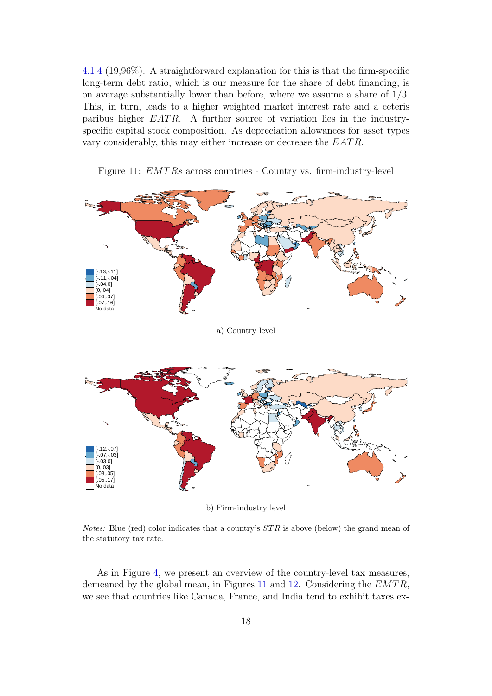[4.1.4](#page-15-1) (19,96%). A straightforward explanation for this is that the firm-specific long-term debt ratio, which is our measure for the share of debt financing, is on average substantially lower than before, where we assume a share of 1/3. This, in turn, leads to a higher weighted market interest rate and a ceteris paribus higher  $EATR$ . A further source of variation lies in the industryspecific capital stock composition. As depreciation allowances for asset types vary considerably, this may either increase or decrease the EATR.



<span id="page-19-0"></span>Figure 11: *EMTRs* across countries - Country vs. firm-industry-level

*Notes:* Blue (red) color indicates that a country's  $STR$  is above (below) the grand mean of the statutory tax rate.

As in Figure [4,](#page-12-0) we present an overview of the country-level tax measures, demeaned by the global mean, in Figures [11](#page-19-0) and [12.](#page-20-0) Considering the  $EMTR$ , we see that countries like Canada, France, and India tend to exhibit taxes ex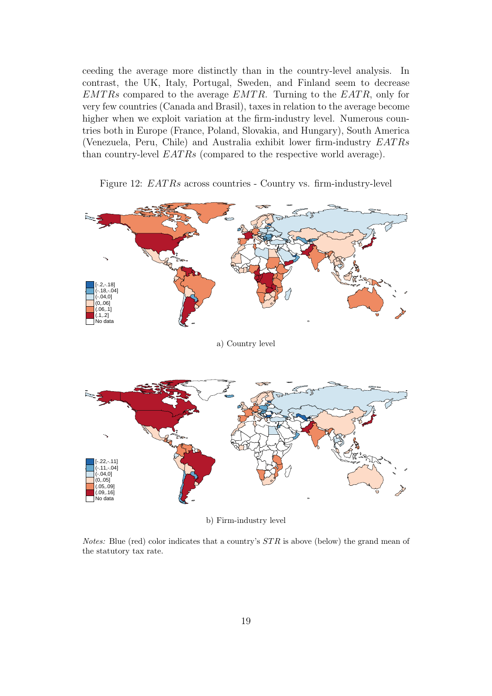ceeding the average more distinctly than in the country-level analysis. In contrast, the UK, Italy, Portugal, Sweden, and Finland seem to decrease  $EMTRs$  compared to the average  $EMTR$ . Turning to the  $EATR$ , only for very few countries (Canada and Brasil), taxes in relation to the average become higher when we exploit variation at the firm-industry level. Numerous countries both in Europe (France, Poland, Slovakia, and Hungary), South America (Venezuela, Peru, Chile) and Australia exhibit lower firm-industry EAT Rs than country-level  $EATRs$  (compared to the respective world average).



<span id="page-20-0"></span>Figure 12: *EATRs* across countries - Country vs. firm-industry-level

b) Firm-industry level

*Notes:* Blue (red) color indicates that a country's  $STR$  is above (below) the grand mean of the statutory tax rate.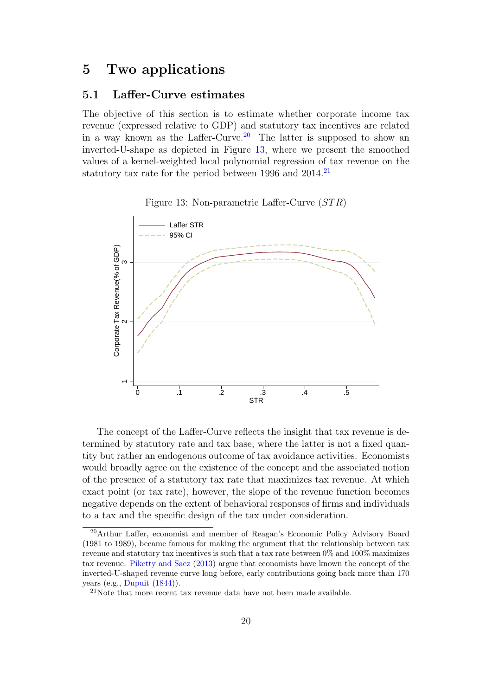### <span id="page-21-0"></span>5 Two applications

#### <span id="page-21-1"></span>5.1 Laffer-Curve estimates

The objective of this section is to estimate whether corporate income tax revenue (expressed relative to GDP) and statutory tax incentives are related in a way known as the Laffer-Curve.<sup>[20](#page-21-2)</sup> The latter is supposed to show an inverted-U-shape as depicted in Figure [13,](#page-21-3) where we present the smoothed values of a kernel-weighted local polynomial regression of tax revenue on the statutory tax rate for the period between 1996 and  $2014$ <sup>[21](#page-21-4)</sup>

<span id="page-21-3"></span>Figure 13: Non-parametric Laffer-Curve  $(STR)$ 



The concept of the Laffer-Curve reflects the insight that tax revenue is determined by statutory rate and tax base, where the latter is not a fixed quantity but rather an endogenous outcome of tax avoidance activities. Economists would broadly agree on the existence of the concept and the associated notion of the presence of a statutory tax rate that maximizes tax revenue. At which exact point (or tax rate), however, the slope of the revenue function becomes negative depends on the extent of behavioral responses of firms and individuals to a tax and the specific design of the tax under consideration.

<span id="page-21-2"></span><sup>20</sup>Arthur Laffer, economist and member of Reagan's Economic Policy Advisory Board (1981 to 1989), became famous for making the argument that the relationship between tax revenue and statutory tax incentives is such that a tax rate between 0% and 100% maximizes tax revenue. [Piketty and Saez](#page-33-9) [\(2013\)](#page-33-9) argue that economists have known the concept of the inverted-U-shaped revenue curve long before, early contributions going back more than 170 years (e.g., [Dupuit](#page-32-8) [\(1844\)](#page-32-8)).

<span id="page-21-4"></span> $21$ Note that more recent tax revenue data have not been made available.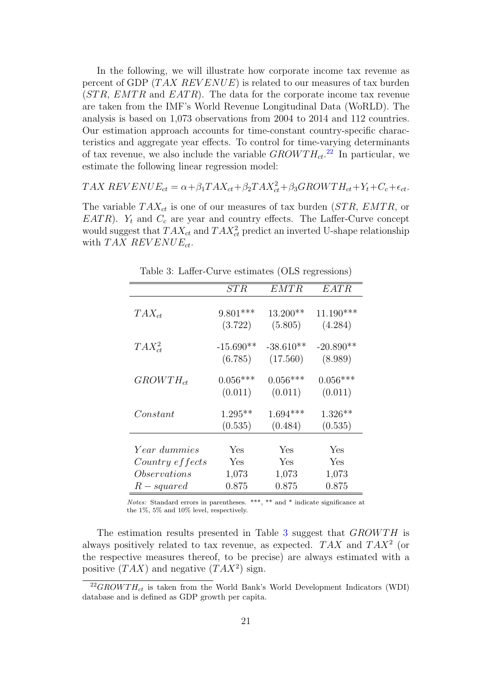In the following, we will illustrate how corporate income tax revenue as percent of GDP  $(TAX$   $REVENUE)$  is related to our measures of tax burden  $(STR, EMTR$  and  $EATR$ ). The data for the corporate income tax revenue are taken from the IMF's World Revenue Longitudinal Data (WoRLD). The analysis is based on 1,073 observations from 2004 to 2014 and 112 countries. Our estimation approach accounts for time-constant country-specific characteristics and aggregate year effects. To control for time-varying determinants of tax revenue, we also include the variable  $GROWTH_{ct}.^{22}$  $GROWTH_{ct}.^{22}$  $GROWTH_{ct}.^{22}$  In particular, we estimate the following linear regression model:

$$
TAX REVIEW_{ct} = \alpha + \beta_1 TAX_{ct} + \beta_2 TAX_{ct}^2 + \beta_3 GROWTH_{ct} + Y_t + C_c + \epsilon_{ct}.
$$

The variable  $TAX_{ct}$  is one of our measures of tax burden (STR, EMTR, or  $EATR$ ).  $Y_t$  and  $C_c$  are year and country effects. The Laffer-Curve concept would suggest that  $TAX_{ct}$  and  $TAX_{ct}^2$  predict an inverted U-shape relationship with  $TAX$  REVENUE<sub>ct</sub>.

|                     | STR                    | EMTR                    | <b>EATR</b>            |
|---------------------|------------------------|-------------------------|------------------------|
| $TAX_{ct}$          | $9.801***$<br>(3.722)  | 13.200**<br>(5.805)     | $11.190***$<br>(4.284) |
| $TAX_{ct}^2$        | $-15.690**$<br>(6.785) | $-38.610**$<br>(17.560) | $-20.890**$<br>(8.989) |
| $GROWTH_{ct}$       | $0.056***$<br>(0.011)  | $0.056***$<br>(0.011)   | $0.056***$<br>(0.011)  |
| Constant            | $1.295**$<br>(0.535)   | $1.694***$<br>(0.484)   | $1.326**$<br>(0.535)   |
| <i>Year dummies</i> | Yes                    | Yes                     | Yes                    |
| Country effects     | Yes                    | Yes                     | Yes                    |
| Observations        | 1,073                  | 1,073                   | 1,073                  |
| $R-squared$         | 0.875                  | 0.875                   | 0.875                  |

<span id="page-22-1"></span>Table 3: Laffer-Curve estimates (OLS regressions)

Notes: Standard errors in parentheses. \*\*\*, \*\* and \* indicate significance at the 1%, 5% and 10% level, respectively.

The estimation results presented in Table [3](#page-22-1) suggest that  $GROWTH$  is always positively related to tax revenue, as expected.  $TAX$  and  $TAX^2$  (or the respective measures thereof, to be precise) are always estimated with a positive  $(TAX)$  and negative  $(TAX^2)$  sign.

<span id="page-22-0"></span> $^{22}GROWTH_{ct}$  is taken from the World Bank's World Development Indicators (WDI) database and is defined as GDP growth per capita.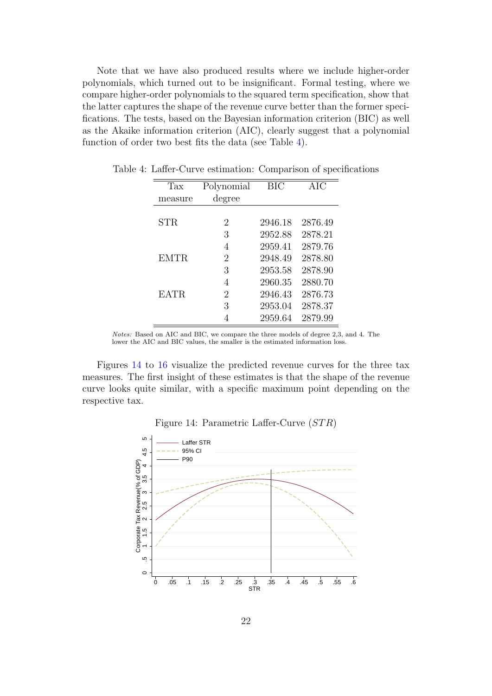Note that we have also produced results where we include higher-order polynomials, which turned out to be insignificant. Formal testing, where we compare higher-order polynomials to the squared term specification, show that the latter captures the shape of the revenue curve better than the former specifications. The tests, based on the Bayesian information criterion (BIC) as well as the Akaike information criterion (AIC), clearly suggest that a polynomial function of order two best fits the data (see Table [4\)](#page-23-0).

<span id="page-23-0"></span>

| Tax         | Polynomial     | <b>BIC</b> | <b>AIC</b> |
|-------------|----------------|------------|------------|
| measure     | degree         |            |            |
|             |                |            |            |
| <b>STR</b>  | 2              | 2946.18    | 2876.49    |
|             | 3              | 2952.88    | 2878.21    |
|             | 4              | 2959.41    | 2879.76    |
| <b>EMTR</b> | $\overline{2}$ | 2948.49    | 2878.80    |
|             | 3              | 2953.58    | 2878.90    |
|             | 4              | 2960.35    | 2880.70    |
| <b>EATR</b> | $\overline{2}$ | 2946.43    | 2876.73    |
|             | 3              | 2953.04    | 2878.37    |
|             |                | 2959.64    | 2879.99    |

Table 4: Laffer-Curve estimation: Comparison of specifications

Notes: Based on AIC and BIC, we compare the three models of degree 2,3, and 4. The lower the AIC and BIC values, the smaller is the estimated information loss.

Figures [14](#page-23-1) to [16](#page-24-0) visualize the predicted revenue curves for the three tax measures. The first insight of these estimates is that the shape of the revenue curve looks quite similar, with a specific maximum point depending on the respective tax.

#### <span id="page-23-1"></span>Figure 14: Parametric Laffer-Curve  $(STR)$

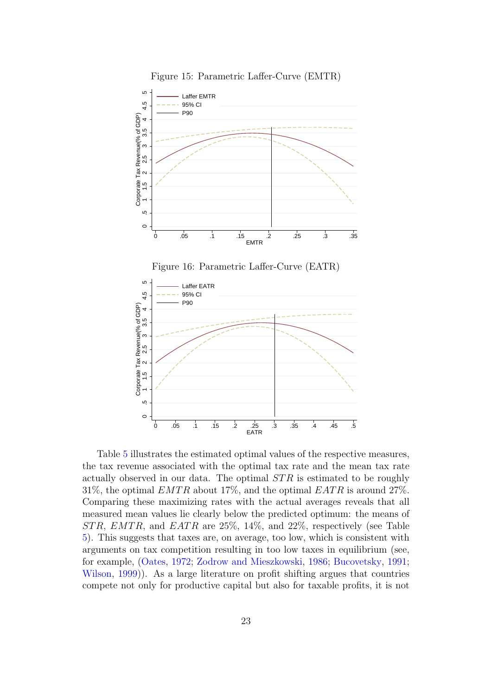

<span id="page-24-0"></span>

Table [5](#page-25-1) illustrates the estimated optimal values of the respective measures, the tax revenue associated with the optimal tax rate and the mean tax rate actually observed in our data. The optimal  $STR$  is estimated to be roughly 31%, the optimal  $EMTR$  about 17%, and the optimal  $EATR$  is around 27%. Comparing these maximizing rates with the actual averages reveals that all measured mean values lie clearly below the predicted optimum: the means of  $STR, EMTR,$  and  $EATR$  are 25%, 14%, and 22%, respectively (see Table [5\)](#page-25-1). This suggests that taxes are, on average, too low, which is consistent with arguments on tax competition resulting in too low taxes in equilibrium (see, for example, [\(Oates,](#page-33-10) [1972;](#page-33-10) [Zodrow and Mieszkowski,](#page-34-0) [1986;](#page-34-0) [Bucovetsky,](#page-32-9) [1991;](#page-32-9) [Wilson,](#page-33-11) [1999\)](#page-33-11)). As a large literature on profit shifting argues that countries compete not only for productive capital but also for taxable profits, it is not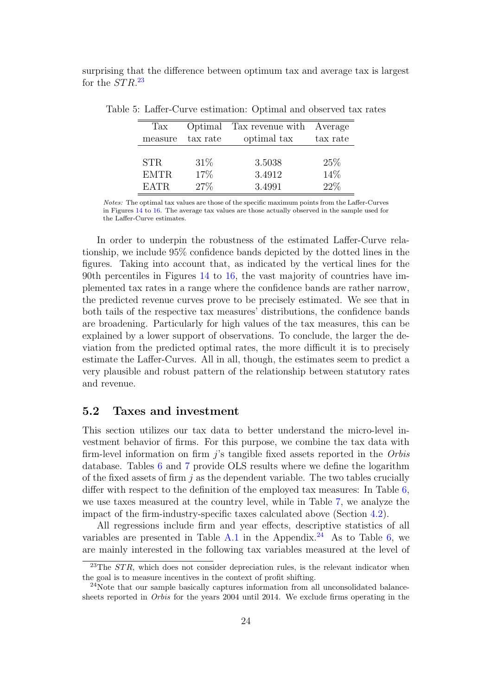surprising that the difference between optimum tax and average tax is largest for the  $STR^{23}$  $STR^{23}$  $STR^{23}$ 

<span id="page-25-1"></span>

| Tax         | Optimal  | Tax revenue with | Average  |
|-------------|----------|------------------|----------|
| measure     | tax rate | optimal tax      | tax rate |
|             |          |                  |          |
| <b>STR</b>  | 31%      | 3.5038           | 25\%     |
| <b>EMTR</b> | 17%      | 3.4912           | 14\%     |
| EATR.       | 27%      | 3.4991           | 22%      |

Table 5: Laffer-Curve estimation: Optimal and observed tax rates

Notes: The optimal tax values are those of the specific maximum points from the Laffer-Curves in Figures [14](#page-23-1) to [16.](#page-24-0) The average tax values are those actually observed in the sample used for the Laffer-Curve estimates.

In order to underpin the robustness of the estimated Laffer-Curve relationship, we include 95% confidence bands depicted by the dotted lines in the figures. Taking into account that, as indicated by the vertical lines for the 90th percentiles in Figures [14](#page-23-1) to [16,](#page-24-0) the vast majority of countries have implemented tax rates in a range where the confidence bands are rather narrow, the predicted revenue curves prove to be precisely estimated. We see that in both tails of the respective tax measures' distributions, the confidence bands are broadening. Particularly for high values of the tax measures, this can be explained by a lower support of observations. To conclude, the larger the deviation from the predicted optimal rates, the more difficult it is to precisely estimate the Laffer-Curves. All in all, though, the estimates seem to predict a very plausible and robust pattern of the relationship between statutory rates and revenue.

#### <span id="page-25-0"></span>5.2 Taxes and investment

This section utilizes our tax data to better understand the micro-level investment behavior of firms. For this purpose, we combine the tax data with firm-level information on firm  $i$ 's tangible fixed assets reported in the *Orbis* database. Tables [6](#page-27-0) and [7](#page-29-0) provide OLS results where we define the logarithm of the fixed assets of firm  $j$  as the dependent variable. The two tables crucially differ with respect to the definition of the employed tax measures: In Table [6,](#page-27-0) we use taxes measured at the country level, while in Table [7,](#page-29-0) we analyze the impact of the firm-industry-specific taxes calculated above (Section [4.2\)](#page-17-0).

All regressions include firm and year effects, descriptive statistics of all variables are presented in Table [A.1](#page-37-0) in the Appendix.<sup>[24](#page-25-3)</sup> As to Table [6,](#page-27-0) we are mainly interested in the following tax variables measured at the level of

<span id="page-25-2"></span><sup>&</sup>lt;sup>23</sup>The  $STR$ , which does not consider depreciation rules, is the relevant indicator when the goal is to measure incentives in the context of profit shifting.

<span id="page-25-3"></span><sup>24</sup>Note that our sample basically captures information from all unconsolidated balancesheets reported in Orbis for the years 2004 until 2014. We exclude firms operating in the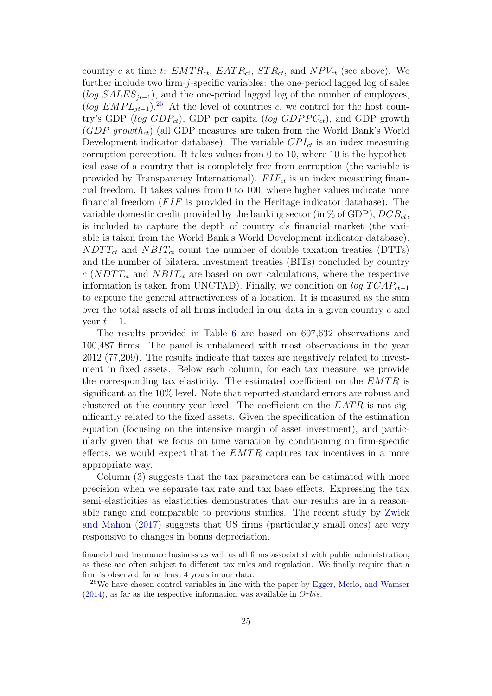country c at time t:  $EMTR_{ct}$ ,  $EATR_{ct}$ ,  $STR_{ct}$ , and  $NPV_{ct}$  (see above). We further include two firm-j-specific variables: the one-period lagged log of sales (log  $SALES_{it-1}$ ), and the one-period lagged log of the number of employees,  $(log EMPL_{it-1})^{25}$  $(log EMPL_{it-1})^{25}$  $(log EMPL_{it-1})^{25}$  At the level of countries c, we control for the host country's GDP (log  $GDP_{ct}$ ), GDP per capita (log  $GDPPC_{ct}$ ), and GDP growth  $(GDP\ growth_{ct})$  (all GDP measures are taken from the World Bank's World Development indicator database). The variable  $CPI_{ct}$  is an index measuring corruption perception. It takes values from 0 to 10, where 10 is the hypothetical case of a country that is completely free from corruption (the variable is provided by Transparency International).  $FIF_{ct}$  is an index measuring financial freedom. It takes values from 0 to 100, where higher values indicate more financial freedom  $(FIF)$  is provided in the Heritage indicator database). The variable domestic credit provided by the banking sector (in  $\%$  of GDP),  $DCB_{ct}$ , is included to capture the depth of country c's financial market (the variable is taken from the World Bank's World Development indicator database).  $NDTT_{ct}$  and  $NBIT_{ct}$  count the number of double taxation treaties (DTTs) and the number of bilateral investment treaties (BITs) concluded by country c (NDTT<sub>ct</sub> and NBIT<sub>ct</sub> are based on own calculations, where the respective information is taken from UNCTAD). Finally, we condition on  $log TCAP_{ct-1}$ to capture the general attractiveness of a location. It is measured as the sum over the total assets of all firms included in our data in a given country  $c$  and year  $t-1$ .

The results provided in Table [6](#page-27-0) are based on 607,632 observations and 100,487 firms. The panel is unbalanced with most observations in the year 2012 (77,209). The results indicate that taxes are negatively related to investment in fixed assets. Below each column, for each tax measure, we provide the corresponding tax elasticity. The estimated coefficient on the  $EMTR$  is significant at the 10% level. Note that reported standard errors are robust and clustered at the country-year level. The coefficient on the  $EATR$  is not significantly related to the fixed assets. Given the specification of the estimation equation (focusing on the intensive margin of asset investment), and particularly given that we focus on time variation by conditioning on firm-specific effects, we would expect that the  $EMTR$  captures tax incentives in a more appropriate way.

Column (3) suggests that the tax parameters can be estimated with more precision when we separate tax rate and tax base effects. Expressing the tax semi-elasticities as elasticities demonstrates that our results are in a reasonable range and comparable to previous studies. The recent study by [Zwick](#page-34-1) [and Mahon](#page-34-1) [\(2017\)](#page-34-1) suggests that US firms (particularly small ones) are very responsive to changes in bonus depreciation.

financial and insurance business as well as all firms associated with public administration, as these are often subject to different tax rules and regulation. We finally require that a firm is observed for at least 4 years in our data.

<span id="page-26-0"></span><sup>&</sup>lt;sup>25</sup>We have chosen control variables in line with the paper by [Egger, Merlo, and Wamser](#page-32-10)  $(2014)$ , as far as the respective information was available in *Orbis*.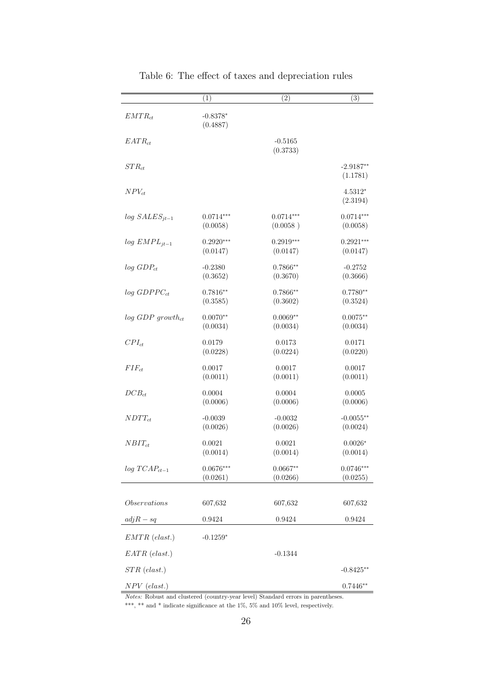|                                | (1)                    | (2)                   | (3)                     |
|--------------------------------|------------------------|-----------------------|-------------------------|
| $EMTR_{ct}$                    | $-0.8378*$<br>(0.4887) |                       |                         |
| $EATR_{ct}$                    |                        | $-0.5165$<br>(0.3733) |                         |
| $STR_{ct}$                     |                        |                       | $-2.9187**$<br>(1.1781) |
| $NPV_{ct}$                     |                        |                       | 4.5312*<br>(2.3194)     |
| $log SALES_{it-1}$             | $0.0714***$            | $0.0714***$           | $0.0714***$             |
|                                | (0.0058)               | (0.0058)              | (0.0058)                |
| $log$ EMPL <sub>it-1</sub>     | $0.2920***$            | $0.2919***$           | $0.2921***$             |
|                                | (0.0147)               | (0.0147)              | (0.0147)                |
| $log$ $GDP_{ct}$               | $-0.2380$              | $0.7866**$            | $-0.2752$               |
|                                | (0.3652)               | (0.3670)              | (0.3666)                |
| $log GDPPC_{ct}$               | $0.7816**$             | $0.7866**$            | $0.7780**$              |
|                                | (0.3585)               | (0.3602)              | (0.3524)                |
| $log GDP$ growth <sub>ct</sub> | $0.0070**$             | $0.0069**$            | $0.0075**$              |
|                                | (0.0034)               | (0.0034)              | (0.0034)                |
| $CPI_{ct}$                     | 0.0179                 | 0.0173                | 0.0171                  |
|                                | (0.0228)               | (0.0224)              | (0.0220)                |
| $FIF_{ct}$                     | 0.0017                 | 0.0017                | 0.0017                  |
|                                | (0.0011)               | (0.0011)              | (0.0011)                |
| $DCB_{ct}$                     | 0.0004                 | 0.0004                | 0.0005                  |
|                                | (0.0006)               | (0.0006)              | (0.0006)                |
| $NDTT_{ct}$                    | $-0.0039$              | $-0.0032$             | $-0.0055**$             |
|                                | (0.0026)               | (0.0026)              | (0.0024)                |
| $NBIT_{ct}$                    | 0.0021                 | 0.0021                | $0.0026*$               |
|                                | (0.0014)               | (0.0014)              | (0.0014)                |
| $log TCAP_{ct-1}$              | $0.0676***$            | $0.0667**$            | $0.0746***$             |
|                                | (0.0261)               | (0.0266)              | (0.0255)                |
| Observations                   | 607,632                | 607,632               | 607,632                 |
| $adjR - sq$                    | 0.9424                 | 0.9424                | 0.9424                  |
| $EMTR$ (elast.)                | $-0.1259*$             |                       |                         |
| $EATR$ (elast.)                |                        | $-0.1344$             |                         |
| $STR$ (elast.)                 |                        |                       | $-0.8425**$             |
| $NPV$ (elast.)                 |                        |                       | $0.7446**$              |

<span id="page-27-0"></span>Table 6: The effect of taxes and depreciation rules

Notes: Robust and clustered (country-year level) Standard errors in parentheses.  $^{***},$   $^{**}$  and  $^{*}$  indicate significance at the 1%, 5% and 10% level, respectively.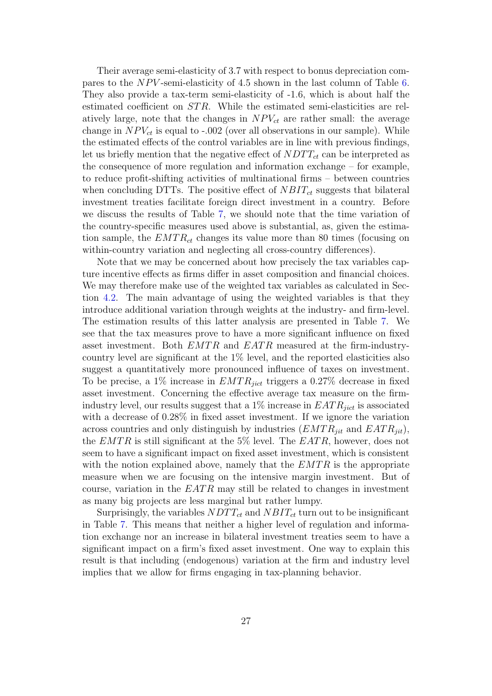Their average semi-elasticity of 3.7 with respect to bonus depreciation compares to the  $NPV$ -semi-elasticity of 4.5 shown in the last column of Table [6.](#page-27-0) They also provide a tax-term semi-elasticity of -1.6, which is about half the estimated coefficient on STR. While the estimated semi-elasticities are relatively large, note that the changes in  $NPV_{ct}$  are rather small: the average change in  $NPV_{ct}$  is equal to -.002 (over all observations in our sample). While the estimated effects of the control variables are in line with previous findings, let us briefly mention that the negative effect of  $NDTT_{ct}$  can be interpreted as the consequence of more regulation and information exchange – for example, to reduce profit-shifting activities of multinational firms – between countries when concluding DTTs. The positive effect of  $NBIT_{ct}$  suggests that bilateral investment treaties facilitate foreign direct investment in a country. Before we discuss the results of Table [7,](#page-29-0) we should note that the time variation of the country-specific measures used above is substantial, as, given the estimation sample, the  $EMTR_{ct}$  changes its value more than 80 times (focusing on within-country variation and neglecting all cross-country differences).

Note that we may be concerned about how precisely the tax variables capture incentive effects as firms differ in asset composition and financial choices. We may therefore make use of the weighted tax variables as calculated in Section [4.2.](#page-17-0) The main advantage of using the weighted variables is that they introduce additional variation through weights at the industry- and firm-level. The estimation results of this latter analysis are presented in Table [7.](#page-29-0) We see that the tax measures prove to have a more significant influence on fixed asset investment. Both  $EMTR$  and  $EATR$  measured at the firm-industrycountry level are significant at the 1% level, and the reported elasticities also suggest a quantitatively more pronounced influence of taxes on investment. To be precise, a 1% increase in  $EMTR_{jict}$  triggers a 0.27% decrease in fixed asset investment. Concerning the effective average tax measure on the firmindustry level, our results suggest that a  $1\%$  increase in  $EATR_{iict}$  is associated with a decrease of 0.28% in fixed asset investment. If we ignore the variation across countries and only distinguish by industries  $(EMTR_{ijt}$  and  $EATR_{ijt})$ , the  $EMTR$  is still significant at the 5% level. The  $EATR$ , however, does not seem to have a significant impact on fixed asset investment, which is consistent with the notion explained above, namely that the  $EMTR$  is the appropriate measure when we are focusing on the intensive margin investment. But of course, variation in the  $EATR$  may still be related to changes in investment as many big projects are less marginal but rather lumpy.

Surprisingly, the variables  $NDTT_{ct}$  and  $NBIT_{ct}$  turn out to be insignificant in Table [7.](#page-29-0) This means that neither a higher level of regulation and information exchange nor an increase in bilateral investment treaties seem to have a significant impact on a firm's fixed asset investment. One way to explain this result is that including (endogenous) variation at the firm and industry level implies that we allow for firms engaging in tax-planning behavior.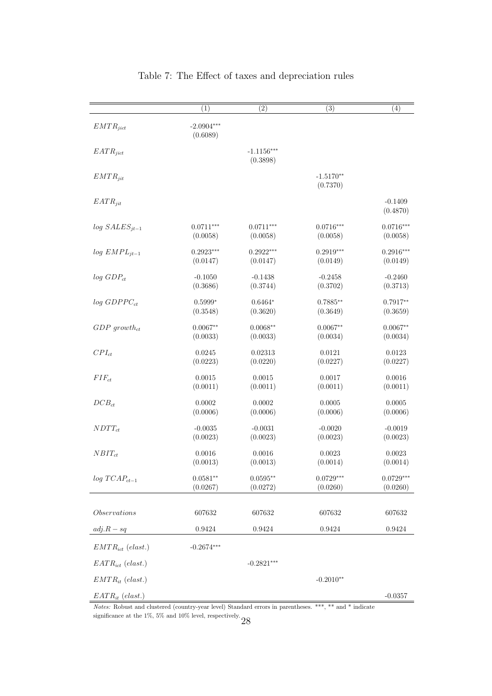|                            | $\overline{(1)}$         | $\overline{(2)}$         | $\overline{(3)}$        | $\overline{(4)}$      |
|----------------------------|--------------------------|--------------------------|-------------------------|-----------------------|
| $EMTR_{jict}$              | $-2.0904***$<br>(0.6089) |                          |                         |                       |
| $EATR_{ijct}$              |                          | $-1.1156***$<br>(0.3898) |                         |                       |
| $EMTR_{jit}$               |                          |                          | $-1.5170**$<br>(0.7370) |                       |
| $EATR_{jit}$               |                          |                          |                         | $-0.1409$<br>(0.4870) |
| $log SALES_{it-1}$         | $0.0711***$              | $0.0711***$              | $0.0716***$             | $0.0716***$           |
|                            | (0.0058)                 | (0.0058)                 | (0.0058)                | (0.0058)              |
| $log$ EMPL <sub>it-1</sub> | $0.2923***$              | $0.2922***$              | $0.2919***$             | $0.2916***$           |
|                            | (0.0147)                 | (0.0147)                 | (0.0149)                | (0.0149)              |
| $log$ $GDP_{ct}$           | $-0.1050$                | $-0.1438$                | $-0.2458$               | $-0.2460$             |
|                            | (0.3686)                 | (0.3744)                 | (0.3702)                | (0.3713)              |
| $log$ GDPP $C_{ct}$        | $0.5999*$                | $0.6464*$                | $0.7885**$              | $0.7917**$            |
|                            | (0.3548)                 | (0.3620)                 | (0.3649)                | (0.3659)              |
| $GDP$ growth <sub>ct</sub> | $0.0067**$               | $0.0068**$               | $0.0067**$              | $0.0067**$            |
|                            | (0.0033)                 | (0.0033)                 | (0.0034)                | (0.0034)              |
| $CPI_{ct}$                 | 0.0245                   | 0.02313                  | 0.0121                  | 0.0123                |
|                            | (0.0223)                 | (0.0220)                 | (0.0227)                | (0.0227)              |
| $\mathit{FIF}_{ct}$        | $0.0015\,$               | 0.0015                   | 0.0017                  | 0.0016                |
|                            | (0.0011)                 | (0.0011)                 | (0.0011)                | (0.0011)              |
| $DCB_{ct}$                 | $0.0002\,$               | 0.0002                   | $0.0005\,$              | 0.0005                |
|                            | (0.0006)                 | (0.0006)                 | (0.0006)                | (0.0006)              |
| $NDTT_{ct}$                | $-0.0035$                | $-0.0031$                | $-0.0020$               | $-0.0019$             |
|                            | (0.0023)                 | (0.0023)                 | (0.0023)                | (0.0023)              |
| $NBIT_{ct}$                | 0.0016                   | 0.0016                   | $\,0.0023\,$            | 0.0023                |
|                            | (0.0013)                 | (0.0013)                 | (0.0014)                | (0.0014)              |
| $log TCAP_{ct-1}$          | $0.0581**$               | $0.0595**$               | $0.0729***$             | $0.0729***$           |
|                            | (0.0267)                 | (0.0272)                 | (0.0260)                | (0.0260)              |
| Observations               | 607632                   | 607632                   | 607632                  | 607632                |
| $adj.R - sq$               | 0.9424                   | 0.9424                   | 0.9424                  | 0.9424                |
| $EMTR_{ict}$ (elast.)      | $-0.2674***$             |                          |                         |                       |
| $EATR_{ict}$ (elast.)      |                          | $-0.2821***$             |                         |                       |
| $EMTR_{it}$ (elast.)       |                          |                          | $-0.2010**$             |                       |
| $EATR_{it}$ (elast.)       |                          |                          |                         | $-0.0357$             |

#### <span id="page-29-0"></span>Table 7: The Effect of taxes and depreciation rules

Notes: Robust and clustered (country-year level) Standard errors in parentheses. \*\*\*, \*\* and \* indicate significance at the 1%, 5% and 10% level, respectively.  $28\,$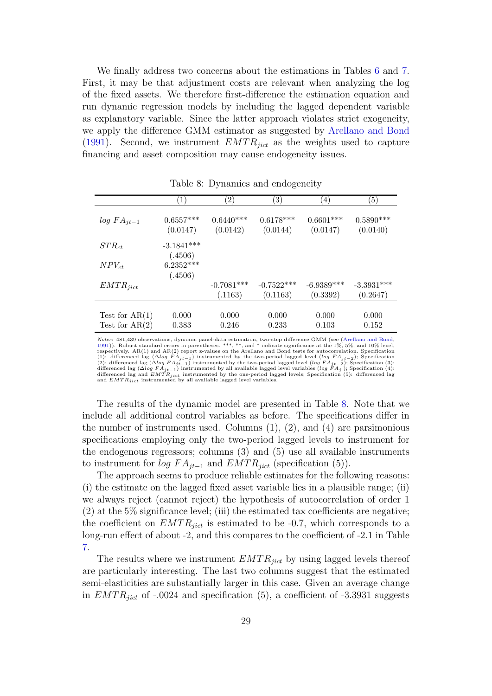We finally address two concerns about the estimations in Tables [6](#page-27-0) and [7.](#page-29-0) First, it may be that adjustment costs are relevant when analyzing the log of the fixed assets. We therefore first-difference the estimation equation and run dynamic regression models by including the lagged dependent variable as explanatory variable. Since the latter approach violates strict exogeneity, we apply the difference GMM estimator as suggested by [Arellano and Bond](#page-32-11) [\(1991\)](#page-32-11). Second, we instrument  $EMTR_{iict}$  as the weights used to capture financing and asset composition may cause endogeneity issues.

|                  | $\left(1\right)$        | $\left( 2\right)$       | $\left( 3\right)$       | $\left( 4\right)$       | $\left( 5\right)$       |
|------------------|-------------------------|-------------------------|-------------------------|-------------------------|-------------------------|
| $log FA_{jt-1}$  | $0.6557***$<br>(0.0147) | $0.6440***$<br>(0.0142) | $0.6178***$<br>(0.0144) | $0.6601***$<br>(0.0147) | $0.5890***$<br>(0.0140) |
| $STR_{ct}$       | $-3.1841***$            |                         |                         |                         |                         |
|                  | (.4506)                 |                         |                         |                         |                         |
| $NPV_{ct}$       | $6.2352***$             |                         |                         |                         |                         |
|                  | (.4506)                 |                         |                         |                         |                         |
| $EMTR_{jict}$    |                         | $-0.7081***$            | $-0.7522***$            | $-6.9389***$            | $-3.3931***$            |
|                  |                         | (.1163)                 | (0.1163)                | (0.3392)                | (0.2647)                |
|                  |                         |                         |                         |                         |                         |
| Test for $AR(1)$ | 0.000                   | 0.000                   | 0.000                   | 0.000                   | 0.000                   |
| Test for $AR(2)$ | 0.383                   | 0.246                   | 0.233                   | 0.103                   | 0.152                   |

<span id="page-30-0"></span>Table 8: Dynamics and endogeneity

Notes: 481,439 observations, dynamic panel-data estimation, two-step difference GMM (see [\(Arellano and Bond,](#page-32-11)<br>[1991\)](#page-32-11)). Robust standard errors in parentheses. \*\*\*, \*\*, and \* indicate significance at the 1%, 5%, and 10% level, (1): differenced lag ( $\Delta log \ FA_{jt-1}$ ) instrumented by the two-period lagged level (log  $FA_{jt-2}$ ); Specification (2): differenced lag ( $\Delta log \ FA_{jt-1}$ ) instrumented by the two-period lagged level (log  $FA_{jt-2}$ ); Specification (

The results of the dynamic model are presented in Table [8.](#page-30-0) Note that we include all additional control variables as before. The specifications differ in the number of instruments used. Columns  $(1)$ ,  $(2)$ , and  $(4)$  are parsimonious specifications employing only the two-period lagged levels to instrument for the endogenous regressors; columns (3) and (5) use all available instruments to instrument for  $log FA_{jt-1}$  and  $EMTR_{jict}$  (specification (5)).

The approach seems to produce reliable estimates for the following reasons: (i) the estimate on the lagged fixed asset variable lies in a plausible range; (ii) we always reject (cannot reject) the hypothesis of autocorrelation of order 1  $(2)$  at the 5% significance level; (iii) the estimated tax coefficients are negative; the coefficient on  $EMTR_{iict}$  is estimated to be -0.7, which corresponds to a long-run effect of about -2, and this compares to the coefficient of -2.1 in Table [7.](#page-29-0)

The results where we instrument  $EMTR_{jict}$  by using lagged levels thereof are particularly interesting. The last two columns suggest that the estimated semi-elasticities are substantially larger in this case. Given an average change in  $EMTR_{iict}$  of -.0024 and specification (5), a coefficient of -3.3931 suggests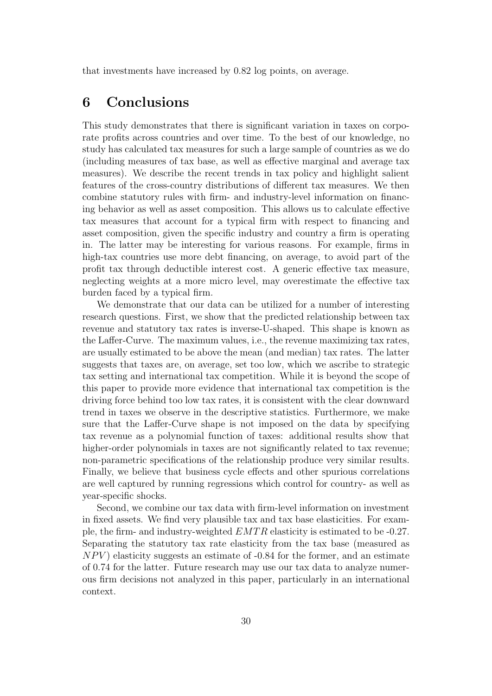that investments have increased by 0.82 log points, on average.

### <span id="page-31-0"></span>6 Conclusions

This study demonstrates that there is significant variation in taxes on corporate profits across countries and over time. To the best of our knowledge, no study has calculated tax measures for such a large sample of countries as we do (including measures of tax base, as well as effective marginal and average tax measures). We describe the recent trends in tax policy and highlight salient features of the cross-country distributions of different tax measures. We then combine statutory rules with firm- and industry-level information on financing behavior as well as asset composition. This allows us to calculate effective tax measures that account for a typical firm with respect to financing and asset composition, given the specific industry and country a firm is operating in. The latter may be interesting for various reasons. For example, firms in high-tax countries use more debt financing, on average, to avoid part of the profit tax through deductible interest cost. A generic effective tax measure, neglecting weights at a more micro level, may overestimate the effective tax burden faced by a typical firm.

We demonstrate that our data can be utilized for a number of interesting research questions. First, we show that the predicted relationship between tax revenue and statutory tax rates is inverse-U-shaped. This shape is known as the Laffer-Curve. The maximum values, i.e., the revenue maximizing tax rates, are usually estimated to be above the mean (and median) tax rates. The latter suggests that taxes are, on average, set too low, which we ascribe to strategic tax setting and international tax competition. While it is beyond the scope of this paper to provide more evidence that international tax competition is the driving force behind too low tax rates, it is consistent with the clear downward trend in taxes we observe in the descriptive statistics. Furthermore, we make sure that the Laffer-Curve shape is not imposed on the data by specifying tax revenue as a polynomial function of taxes: additional results show that higher-order polynomials in taxes are not significantly related to tax revenue; non-parametric specifications of the relationship produce very similar results. Finally, we believe that business cycle effects and other spurious correlations are well captured by running regressions which control for country- as well as year-specific shocks.

Second, we combine our tax data with firm-level information on investment in fixed assets. We find very plausible tax and tax base elasticities. For example, the firm- and industry-weighted  $EMTR$  elasticity is estimated to be -0.27. Separating the statutory tax rate elasticity from the tax base (measured as  $NPV$ ) elasticity suggests an estimate of  $-0.84$  for the former, and an estimate of 0.74 for the latter. Future research may use our tax data to analyze numerous firm decisions not analyzed in this paper, particularly in an international context.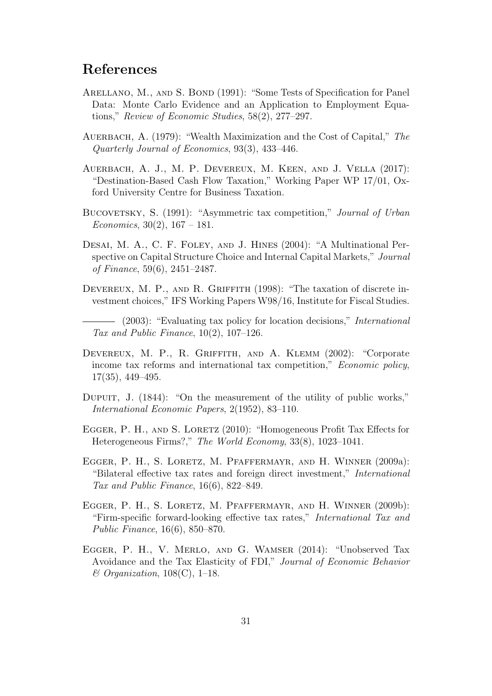### References

- <span id="page-32-11"></span>ARELLANO, M., AND S. BOND (1991): "Some Tests of Specification for Panel Data: Monte Carlo Evidence and an Application to Employment Equations," Review of Economic Studies, 58(2), 277–297.
- <span id="page-32-6"></span>AUERBACH, A. (1979): "Wealth Maximization and the Cost of Capital," The Quarterly Journal of Economics, 93(3), 433–446.
- <span id="page-32-0"></span>Auerbach, A. J., M. P. Devereux, M. Keen, and J. Vella (2017): "Destination-Based Cash Flow Taxation," Working Paper WP 17/01, Oxford University Centre for Business Taxation.
- <span id="page-32-9"></span>BUCOVETSKY, S. (1991): "Asymmetric tax competition," Journal of Urban Economics,  $30(2)$ ,  $167 - 181$ .
- <span id="page-32-7"></span>DESAI, M. A., C. F. FOLEY, AND J. HINES (2004): "A Multinational Perspective on Capital Structure Choice and Internal Capital Markets," Journal of Finance, 59(6), 2451–2487.
- <span id="page-32-2"></span>DEVEREUX, M. P., AND R. GRIFFITH (1998): "The taxation of discrete investment choices," IFS Working Papers W98/16, Institute for Fiscal Studies.

<span id="page-32-3"></span>(2003): "Evaluating tax policy for location decisions," International Tax and Public Finance, 10(2), 107–126.

- <span id="page-32-1"></span>Devereux, M. P., R. Griffith, and A. Klemm (2002): "Corporate income tax reforms and international tax competition," Economic policy, 17(35), 449–495.
- <span id="page-32-8"></span>DUPUIT, J. (1844): "On the measurement of the utility of public works," International Economic Papers, 2(1952), 83–110.
- <span id="page-32-5"></span>EGGER, P. H., AND S. LORETZ (2010): "Homogeneous Profit Tax Effects for Heterogeneous Firms?," The World Economy, 33(8), 1023–1041.
- <span id="page-32-12"></span>Egger, P. H., S. Loretz, M. Pfaffermayr, and H. Winner (2009a): "Bilateral effective tax rates and foreign direct investment," International Tax and Public Finance, 16(6), 822–849.
- <span id="page-32-4"></span>Egger, P. H., S. Loretz, M. Pfaffermayr, and H. Winner (2009b): "Firm-specific forward-looking effective tax rates," International Tax and Public Finance, 16(6), 850–870.
- <span id="page-32-10"></span>Egger, P. H., V. Merlo, and G. Wamser (2014): "Unobserved Tax Avoidance and the Tax Elasticity of FDI," Journal of Economic Behavior  $\&$  Organization, 108(C), 1–18.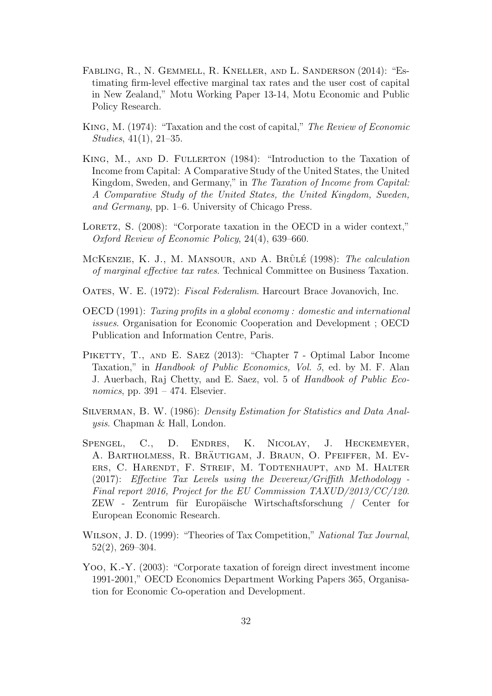- <span id="page-33-4"></span>Fabling, R., N. Gemmell, R. Kneller, and L. Sanderson (2014): "Estimating firm-level effective marginal tax rates and the user cost of capital in New Zealand," Motu Working Paper 13-14, Motu Economic and Public Policy Research.
- <span id="page-33-0"></span>King, M. (1974): "Taxation and the cost of capital," The Review of Economic Studies, 41(1), 21–35.
- <span id="page-33-1"></span>KING, M., AND D. FULLERTON (1984): "Introduction to the Taxation of Income from Capital: A Comparative Study of the United States, the United Kingdom, Sweden, and Germany," in The Taxation of Income from Capital: A Comparative Study of the United States, the United Kingdom, Sweden, and Germany, pp. 1–6. University of Chicago Press.
- <span id="page-33-2"></span>LORETZ, S. (2008): "Corporate taxation in the OECD in a wider context," Oxford Review of Economic Policy, 24(4), 639–660.
- <span id="page-33-5"></span>MCKENZIE, K. J., M. MANSOUR, AND A. BRÛLÉ (1998): The calculation of marginal effective tax rates. Technical Committee on Business Taxation.
- <span id="page-33-10"></span>OATES, W. E. (1972): Fiscal Federalism. Harcourt Brace Jovanovich, Inc.
- <span id="page-33-3"></span>OECD (1991): Taxing profits in a global economy : domestic and international issues. Organisation for Economic Cooperation and Development ; OECD Publication and Information Centre, Paris.
- <span id="page-33-9"></span>PIKETTY, T., AND E. SAEZ (2013): "Chapter 7 - Optimal Labor Income Taxation," in Handbook of Public Economics, Vol. 5, ed. by M. F. Alan J. Auerbach, Raj Chetty, and E. Saez, vol. 5 of Handbook of Public Economics, pp.  $391 - 474$ . Elsevier.
- <span id="page-33-8"></span>Silverman, B. W. (1986): Density Estimation for Statistics and Data Analysis. Chapman & Hall, London.
- <span id="page-33-7"></span>Spengel, C., D. Endres, K. Nicolay, J. Heckemeyer, A. BARTHOLMESS, R. BRÄUTIGAM, J. BRAUN, O. PFEIFFER, M. EVers, C. Harendt, F. Streif, M. Todtenhaupt, and M. Halter  $(2017)$ : Effective Tax Levels using the Devereux/Griffith Methodology -Final report 2016, Project for the EU Commission TAXUD/2013/CC/120. ZEW - Zentrum für Europäische Wirtschaftsforschung / Center for European Economic Research.
- <span id="page-33-11"></span>WILSON, J. D. (1999): "Theories of Tax Competition," National Tax Journal, 52(2), 269–304.
- <span id="page-33-6"></span>Yoo, K.-Y. (2003): "Corporate taxation of foreign direct investment income 1991-2001," OECD Economics Department Working Papers 365, Organisation for Economic Co-operation and Development.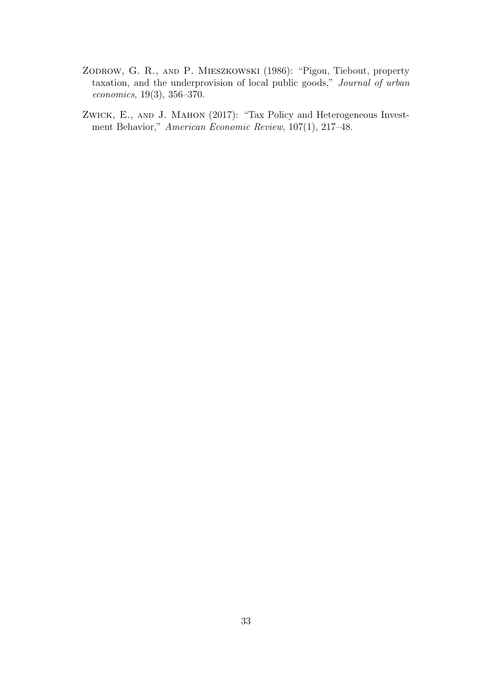- <span id="page-34-0"></span>Zodrow, G. R., and P. Mieszkowski (1986): "Pigou, Tiebout, property taxation, and the underprovision of local public goods," Journal of urban economics, 19(3), 356–370.
- <span id="page-34-1"></span>Zwick, E., and J. Mahon (2017): "Tax Policy and Heterogeneous Investment Behavior," American Economic Review, 107(1), 217–48.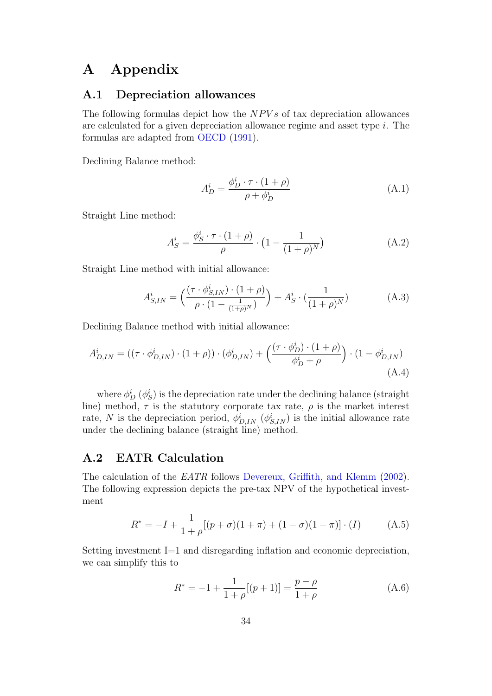### A Appendix

#### <span id="page-35-0"></span>A.1 Depreciation allowances

The following formulas depict how the  $NPVs$  of tax depreciation allowances are calculated for a given depreciation allowance regime and asset type i. The formulas are adapted from [OECD](#page-33-3) [\(1991\)](#page-33-3).

Declining Balance method:

$$
A_D^i = \frac{\phi_D^i \cdot \tau \cdot (1 + \rho)}{\rho + \phi_D^i}
$$
 (A.1)

Straight Line method:

$$
A_S^i = \frac{\phi_S^i \cdot \tau \cdot (1+\rho)}{\rho} \cdot \left(1 - \frac{1}{(1+\rho)^N}\right) \tag{A.2}
$$

Straight Line method with initial allowance:

$$
A_{S,IN}^i = \left(\frac{(\tau \cdot \phi_{S,IN}^i) \cdot (1+\rho)}{\rho \cdot (1 - \frac{1}{(1+\rho)^N})}\right) + A_S^i \cdot (\frac{1}{(1+\rho)^N})
$$
(A.3)

Declining Balance method with initial allowance:

$$
A_{D,IN}^{i} = ((\tau \cdot \phi_{D,IN}^{i}) \cdot (1+\rho)) \cdot (\phi_{D,IN}^{i}) + \left(\frac{(\tau \cdot \phi_{D}^{i}) \cdot (1+\rho)}{\phi_{D}^{i} + \rho}\right) \cdot (1-\phi_{D,IN}^{i})
$$
\n(A.4)

where  $\phi_D^i$   $(\phi_S^i)$  is the depreciation rate under the declining balance (straight line) method,  $\tau$  is the statutory corporate tax rate,  $\rho$  is the market interest rate, N is the depreciation period,  $\phi_{D,IN}^i$  ( $\phi_{S,IN}^i$ ) is the initial allowance rate under the declining balance (straight line) method.

#### <span id="page-35-1"></span>A.2 EATR Calculation

The calculation of the EATR follows [Devereux, Griffith, and Klemm](#page-32-1) [\(2002\)](#page-32-1). The following expression depicts the pre-tax NPV of the hypothetical investment

$$
R^* = -I + \frac{1}{1+\rho} [(p+\sigma)(1+\pi) + (1-\sigma)(1+\pi)] \cdot (I) \tag{A.5}
$$

Setting investment I=1 and disregarding inflation and economic depreciation, we can simplify this to

$$
R^* = -1 + \frac{1}{1+\rho}[(p+1)] = \frac{p-\rho}{1+\rho}
$$
\n(A.6)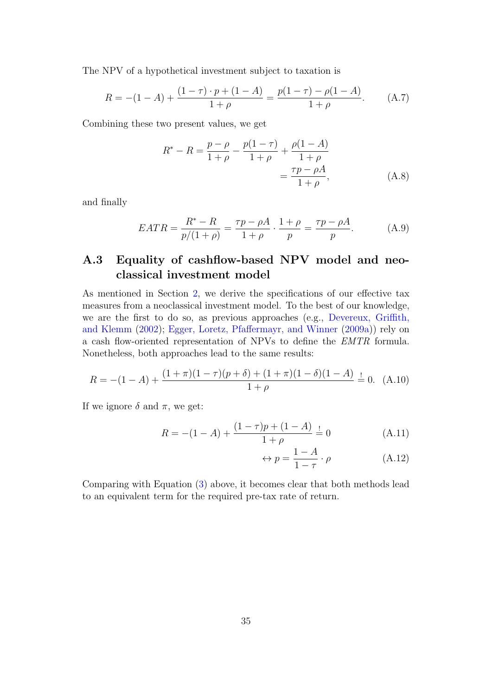The NPV of a hypothetical investment subject to taxation is

$$
R = -(1 - A) + \frac{(1 - \tau) \cdot p + (1 - A)}{1 + \rho} = \frac{p(1 - \tau) - \rho(1 - A)}{1 + \rho}.
$$
 (A.7)

Combining these two present values, we get

$$
R^* - R = \frac{p - \rho}{1 + \rho} - \frac{p(1 - \tau)}{1 + \rho} + \frac{\rho(1 - A)}{1 + \rho}
$$
  
= 
$$
\frac{\tau p - \rho A}{1 + \rho}, \qquad (A.8)
$$

and finally

$$
EATR = \frac{R^* - R}{p/(1+\rho)} = \frac{\tau p - \rho A}{1+\rho} \cdot \frac{1+\rho}{p} = \frac{\tau p - \rho A}{p}.
$$
 (A.9)

### <span id="page-36-0"></span>A.3 Equality of cashflow-based NPV model and neoclassical investment model

As mentioned in Section [2,](#page-4-0) we derive the specifications of our effective tax measures from a neoclassical investment model. To the best of our knowledge, we are the first to do so, as previous approaches (e.g., [Devereux, Griffith,](#page-32-1) [and Klemm](#page-32-1) [\(2002\)](#page-32-1); [Egger, Loretz, Pfaffermayr, and Winner](#page-32-12) [\(2009a\)](#page-32-12)) rely on a cash flow-oriented representation of NPVs to define the EMTR formula. Nonetheless, both approaches lead to the same results:

$$
R = -(1 - A) + \frac{(1 + \pi)(1 - \tau)(p + \delta) + (1 + \pi)(1 - \delta)(1 - A)}{1 + \rho} = 0.
$$
 (A.10)

If we ignore  $\delta$  and  $\pi$ , we get:

$$
R = -(1 - A) + \frac{(1 - \tau)p + (1 - A)}{1 + \rho} = 0
$$
 (A.11)

$$
\leftrightarrow p = \frac{1 - A}{1 - \tau} \cdot \rho \tag{A.12}
$$

Comparing with Equation [\(3\)](#page-5-4) above, it becomes clear that both methods lead to an equivalent term for the required pre-tax rate of return.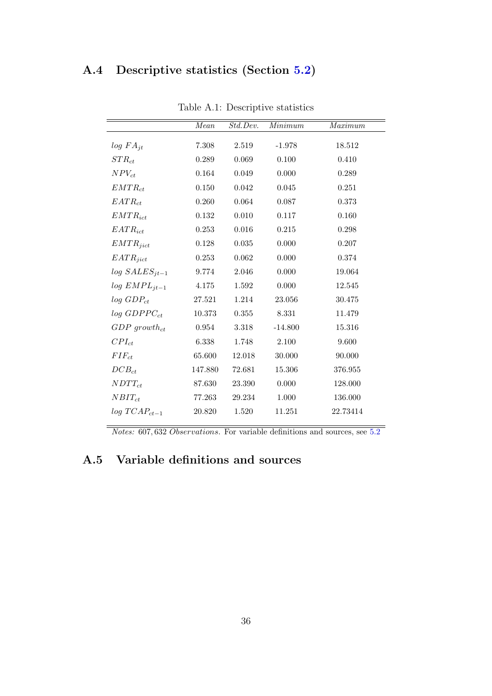### A.4 Descriptive statistics (Section [5.2\)](#page-25-0)

| 7.308<br>2.519<br>18.512<br>$-1.978$<br>0.069<br>0.289<br>0.100<br>0.410<br>0.049<br>0.000<br>0.164<br>0.289<br>0.150<br>0.042<br>0.045<br>0.251<br>$\,0.064\,$<br>0.260<br>0.087<br>0.373<br>0.010<br>0.132<br>0.117<br>0.160<br>0.016<br>0.215<br>0.298<br>0.253<br>0.035<br>0.000<br>0.207<br>0.128<br>0.062<br>0.000<br>0.374<br>0.253<br>2.046<br>0.000<br>9.774<br>19.064<br>0.000<br>4.175<br>1.592<br>12.545<br>27.521<br>1.214<br>23.056<br>30.475<br>10.373<br>0.355<br>8.331<br>11.479<br>$-14.800$<br>15.316<br>0.954<br>3.318<br>9.600<br>6.338<br>1.748<br>2.100<br>65.600<br>12.018<br>30.000<br>90.000<br>15.306<br>147.880<br>72.681<br>376.955<br>0.000<br>128.000<br>87.630<br>23.390<br>77.263<br>29.234<br>1.000<br>136.000<br>20.820<br>1.520<br>11.251<br>22.73414 | rapic <i>I</i> I.I. Descriptive statistics |      |          |         |         |
|-------------------------------------------------------------------------------------------------------------------------------------------------------------------------------------------------------------------------------------------------------------------------------------------------------------------------------------------------------------------------------------------------------------------------------------------------------------------------------------------------------------------------------------------------------------------------------------------------------------------------------------------------------------------------------------------------------------------------------------------------------------------------------------------|--------------------------------------------|------|----------|---------|---------|
|                                                                                                                                                                                                                                                                                                                                                                                                                                                                                                                                                                                                                                                                                                                                                                                           |                                            | Mean | Std.Dev. | Minimum | Maximum |
|                                                                                                                                                                                                                                                                                                                                                                                                                                                                                                                                                                                                                                                                                                                                                                                           | $log FA_{it}$                              |      |          |         |         |
|                                                                                                                                                                                                                                                                                                                                                                                                                                                                                                                                                                                                                                                                                                                                                                                           | $STR_{ct}$                                 |      |          |         |         |
|                                                                                                                                                                                                                                                                                                                                                                                                                                                                                                                                                                                                                                                                                                                                                                                           | $NPV_{ct}$                                 |      |          |         |         |
|                                                                                                                                                                                                                                                                                                                                                                                                                                                                                                                                                                                                                                                                                                                                                                                           | $EMTR_{ct}$                                |      |          |         |         |
|                                                                                                                                                                                                                                                                                                                                                                                                                                                                                                                                                                                                                                                                                                                                                                                           | $EATR_{ct}$                                |      |          |         |         |
|                                                                                                                                                                                                                                                                                                                                                                                                                                                                                                                                                                                                                                                                                                                                                                                           | $EMTR_{ict}$                               |      |          |         |         |
|                                                                                                                                                                                                                                                                                                                                                                                                                                                                                                                                                                                                                                                                                                                                                                                           | $EATR_{ict}$                               |      |          |         |         |
|                                                                                                                                                                                                                                                                                                                                                                                                                                                                                                                                                                                                                                                                                                                                                                                           | $EMTR_{jict}$                              |      |          |         |         |
|                                                                                                                                                                                                                                                                                                                                                                                                                                                                                                                                                                                                                                                                                                                                                                                           | $EATR_{jict}$                              |      |          |         |         |
|                                                                                                                                                                                                                                                                                                                                                                                                                                                                                                                                                                                                                                                                                                                                                                                           | $log SALES_{it-1}$                         |      |          |         |         |
|                                                                                                                                                                                                                                                                                                                                                                                                                                                                                                                                                                                                                                                                                                                                                                                           | $log$ $EMPL_{jt-1}$                        |      |          |         |         |
|                                                                                                                                                                                                                                                                                                                                                                                                                                                                                                                                                                                                                                                                                                                                                                                           | $log$ $GDP_{ct}$                           |      |          |         |         |
|                                                                                                                                                                                                                                                                                                                                                                                                                                                                                                                                                                                                                                                                                                                                                                                           | $log$ GDPP $C_{ct}$                        |      |          |         |         |
|                                                                                                                                                                                                                                                                                                                                                                                                                                                                                                                                                                                                                                                                                                                                                                                           | $GDP\ growth_{ct}$                         |      |          |         |         |
|                                                                                                                                                                                                                                                                                                                                                                                                                                                                                                                                                                                                                                                                                                                                                                                           | $CPI_{ct}$                                 |      |          |         |         |
|                                                                                                                                                                                                                                                                                                                                                                                                                                                                                                                                                                                                                                                                                                                                                                                           | $FIF_{ct}$                                 |      |          |         |         |
|                                                                                                                                                                                                                                                                                                                                                                                                                                                                                                                                                                                                                                                                                                                                                                                           | $DCB_{ct}$                                 |      |          |         |         |
|                                                                                                                                                                                                                                                                                                                                                                                                                                                                                                                                                                                                                                                                                                                                                                                           | $NDTT_{ct}$                                |      |          |         |         |
|                                                                                                                                                                                                                                                                                                                                                                                                                                                                                                                                                                                                                                                                                                                                                                                           | $NBIT_{ct}$                                |      |          |         |         |
|                                                                                                                                                                                                                                                                                                                                                                                                                                                                                                                                                                                                                                                                                                                                                                                           | $log TCAP_{ct-1}$                          |      |          |         |         |

<span id="page-37-0"></span>Table A.1: Descriptive statistics

Notes: 607, 632 Observations. For variable definitions and sources, see [5.2](#page-25-0)

### A.5 Variable definitions and sources